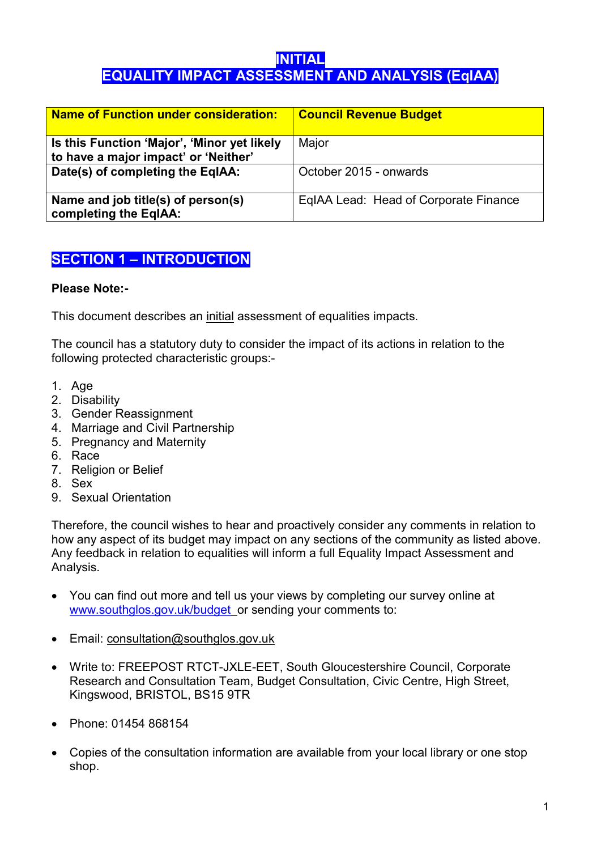# INITIAL EQUALITY IMPACT ASSESSMENT AND ANALYSIS (EqIAA)

| Name of Function under consideration:                                               | <b>Council Revenue Budget</b>         |
|-------------------------------------------------------------------------------------|---------------------------------------|
| Is this Function 'Major', 'Minor yet likely<br>to have a major impact' or 'Neither' | Major                                 |
| Date(s) of completing the EqIAA:                                                    | October 2015 - onwards                |
| Name and job title(s) of person(s)<br>completing the EqIAA:                         | EqIAA Lead: Head of Corporate Finance |

# SECTION 1 – INTRODUCTION

### Please Note:-

This document describes an initial assessment of equalities impacts.

The council has a statutory duty to consider the impact of its actions in relation to the following protected characteristic groups:-

- 1. Age
- 2. Disability
- 3. Gender Reassignment
- 4. Marriage and Civil Partnership
- 5. Pregnancy and Maternity
- 6. Race
- 7. Religion or Belief
- 8. Sex
- 9. Sexual Orientation

Therefore, the council wishes to hear and proactively consider any comments in relation to how any aspect of its budget may impact on any sections of the community as listed above. Any feedback in relation to equalities will inform a full Equality Impact Assessment and Analysis.

- You can find out more and tell us your views by completing our survey online at www.southglos.gov.uk/budget or sending your comments to:
- Email: consultation@southglos.gov.uk
- Write to: FREEPOST RTCT-JXLE-EET, South Gloucestershire Council, Corporate Research and Consultation Team, Budget Consultation, Civic Centre, High Street, Kingswood, BRISTOL, BS15 9TR
- Phone: 01454 868154
- Copies of the consultation information are available from your local library or one stop shop.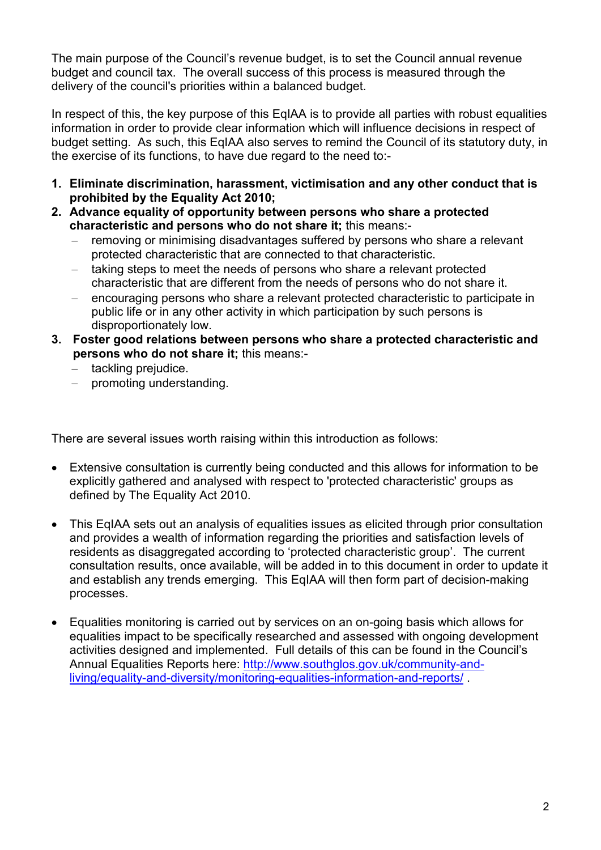The main purpose of the Council's revenue budget, is to set the Council annual revenue budget and council tax. The overall success of this process is measured through the delivery of the council's priorities within a balanced budget.

In respect of this, the key purpose of this EqIAA is to provide all parties with robust equalities information in order to provide clear information which will influence decisions in respect of budget setting. As such, this EqIAA also serves to remind the Council of its statutory duty, in the exercise of its functions, to have due regard to the need to:-

- 1. Eliminate discrimination, harassment, victimisation and any other conduct that is prohibited by the Equality Act 2010;
- 2. Advance equality of opportunity between persons who share a protected characteristic and persons who do not share it; this means:-
	- removing or minimising disadvantages suffered by persons who share a relevant protected characteristic that are connected to that characteristic.
	- taking steps to meet the needs of persons who share a relevant protected characteristic that are different from the needs of persons who do not share it.
	- encouraging persons who share a relevant protected characteristic to participate in public life or in any other activity in which participation by such persons is disproportionately low.
- 3. Foster good relations between persons who share a protected characteristic and persons who do not share it; this means:
	- tackling prejudice.
	- promoting understanding.

There are several issues worth raising within this introduction as follows:

- Extensive consultation is currently being conducted and this allows for information to be explicitly gathered and analysed with respect to 'protected characteristic' groups as defined by The Equality Act 2010.
- This EqIAA sets out an analysis of equalities issues as elicited through prior consultation and provides a wealth of information regarding the priorities and satisfaction levels of residents as disaggregated according to 'protected characteristic group'. The current consultation results, once available, will be added in to this document in order to update it and establish any trends emerging. This EqIAA will then form part of decision-making processes.
- Equalities monitoring is carried out by services on an on-going basis which allows for equalities impact to be specifically researched and assessed with ongoing development activities designed and implemented. Full details of this can be found in the Council's Annual Equalities Reports here: http://www.southglos.gov.uk/community-andliving/equality-and-diversity/monitoring-equalities-information-and-reports/ .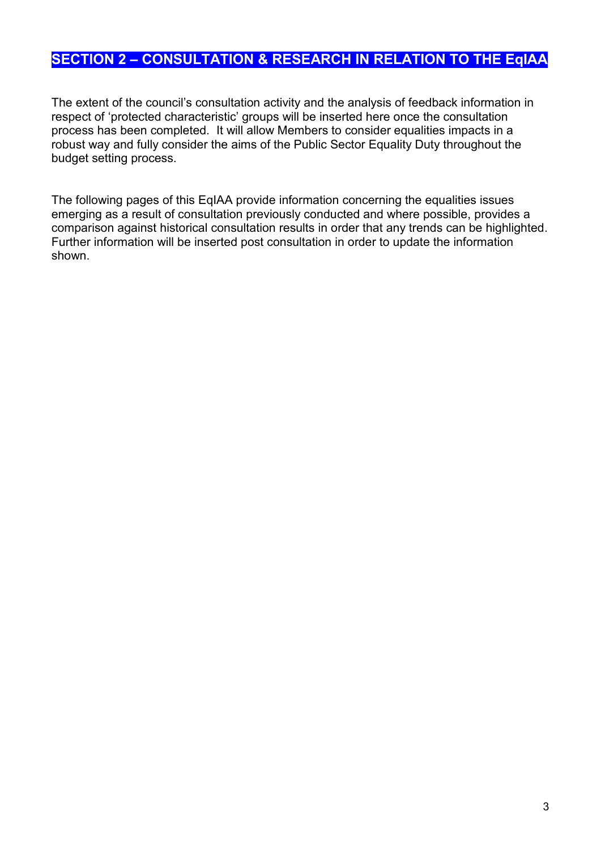# SECTION 2 – CONSULTATION & RESEARCH IN RELATION TO THE EqIAA

The extent of the council's consultation activity and the analysis of feedback information in respect of 'protected characteristic' groups will be inserted here once the consultation process has been completed. It will allow Members to consider equalities impacts in a robust way and fully consider the aims of the Public Sector Equality Duty throughout the budget setting process.

The following pages of this EqIAA provide information concerning the equalities issues emerging as a result of consultation previously conducted and where possible, provides a comparison against historical consultation results in order that any trends can be highlighted. Further information will be inserted post consultation in order to update the information shown.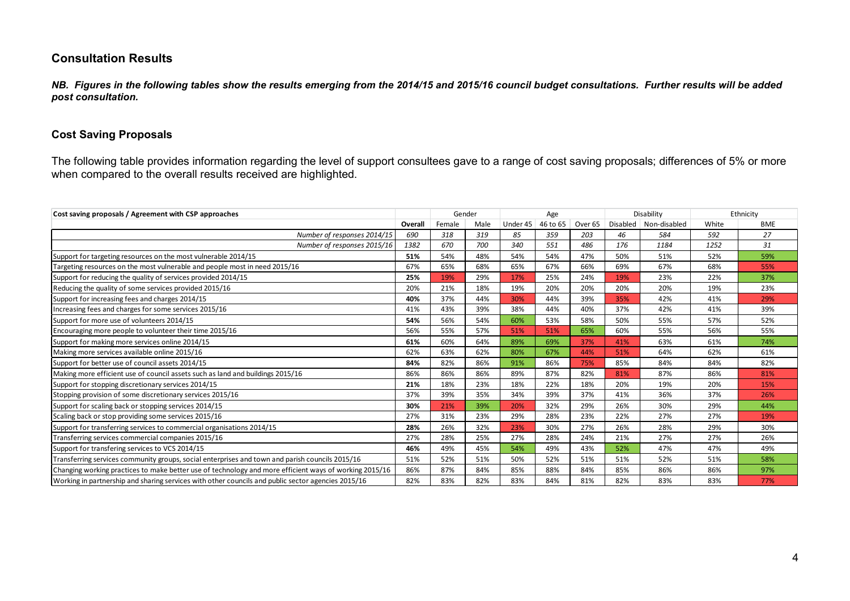### Consultation Results

*NB. Figures in the following tables show the results emerging from the 2014/15 and 2015/16 council budget consultations. Further results will be added post consultation.*

#### Cost Saving Proposals

The following table provides information regarding the level of support consultees gave to a range of cost saving proposals; differences of 5% or more when compared to the overall results received are highlighted.

| Cost saving proposals / Agreement with CSP approaches                                                  |         | Gender |      |          | Age      |                    |     | Disability              |       | Ethnicity  |
|--------------------------------------------------------------------------------------------------------|---------|--------|------|----------|----------|--------------------|-----|-------------------------|-------|------------|
|                                                                                                        | Overall | Female | Male | Under 45 | 46 to 65 | Over <sub>65</sub> |     | Disabled   Non-disabled | White | <b>BME</b> |
| Number of responses 2014/15                                                                            | 690     | 318    | 319  | 85       | 359      | 203                | 46  | 584                     | 592   | 27         |
| Number of responses 2015/16                                                                            | 1382    | 670    | 700  | 340      | 551      | 486                | 176 | 1184                    | 1252  | 31         |
| Support for targeting resources on the most vulnerable 2014/15                                         | 51%     | 54%    | 48%  | 54%      | 54%      | 47%                | 50% | 51%                     | 52%   | 59%        |
| Targeting resources on the most vulnerable and people most in need 2015/16                             | 67%     | 65%    | 68%  | 65%      | 67%      | 66%                | 69% | 67%                     | 68%   | 55%        |
| Support for reducing the quality of services provided 2014/15                                          | 25%     | 19%    | 29%  | 17%      | 25%      | 24%                | 19% | 23%                     | 22%   | 37%        |
| Reducing the quality of some services provided 2015/16                                                 | 20%     | 21%    | 18%  | 19%      | 20%      | 20%                | 20% | 20%                     | 19%   | 23%        |
| Support for increasing fees and charges 2014/15                                                        | 40%     | 37%    | 44%  | 30%      | 44%      | 39%                | 35% | 42%                     | 41%   | 29%        |
| Increasing fees and charges for some services 2015/16                                                  | 41%     | 43%    | 39%  | 38%      | 44%      | 40%                | 37% | 42%                     | 41%   | 39%        |
| Support for more use of volunteers 2014/15                                                             | 54%     | 56%    | 54%  | 60%      | 53%      | 58%                | 50% | 55%                     | 57%   | 52%        |
| Encouraging more people to volunteer their time 2015/16                                                | 56%     | 55%    | 57%  | 51%      | 51%      | 65%                | 60% | 55%                     | 56%   | 55%        |
| Support for making more services online 2014/15                                                        | 61%     | 60%    | 64%  | 89%      | 69%      | 37%                | 41% | 63%                     | 61%   | 74%        |
| Making more services available online 2015/16                                                          | 62%     | 63%    | 62%  | 80%      | 67%      | 44%                | 51% | 64%                     | 62%   | 61%        |
| Support for better use of council assets 2014/15                                                       | 84%     | 82%    | 86%  | 91%      | 86%      | 75%                | 85% | 84%                     | 84%   | 82%        |
| Making more efficient use of council assets such as land and buildings 2015/16                         | 86%     | 86%    | 86%  | 89%      | 87%      | 82%                | 81% | 87%                     | 86%   | 81%        |
| Support for stopping discretionary services 2014/15                                                    | 21%     | 18%    | 23%  | 18%      | 22%      | 18%                | 20% | 19%                     | 20%   | 15%        |
| Stopping provision of some discretionary services 2015/16                                              | 37%     | 39%    | 35%  | 34%      | 39%      | 37%                | 41% | 36%                     | 37%   | 26%        |
| Support for scaling back or stopping services 2014/15                                                  | 30%     | 21%    | 39%  | 20%      | 32%      | 29%                | 26% | 30%                     | 29%   | 44%        |
| Scaling back or stop providing some services 2015/16                                                   | 27%     | 31%    | 23%  | 29%      | 28%      | 23%                | 22% | 27%                     | 27%   | 19%        |
| Support for transferring services to commercial organisations 2014/15                                  | 28%     | 26%    | 32%  | 23%      | 30%      | 27%                | 26% | 28%                     | 29%   | 30%        |
| Transferring services commercial companies 2015/16                                                     | 27%     | 28%    | 25%  | 27%      | 28%      | 24%                | 21% | 27%                     | 27%   | 26%        |
| Support for transfering services to VCS 2014/15                                                        | 46%     | 49%    | 45%  | 54%      | 49%      | 43%                | 52% | 47%                     | 47%   | 49%        |
| Transferring services community groups, social enterprises and town and parish councils 2015/16        | 51%     | 52%    | 51%  | 50%      | 52%      | 51%                | 51% | 52%                     | 51%   | 58%        |
| Changing working practices to make better use of technology and more efficient ways of working 2015/16 | 86%     | 87%    | 84%  | 85%      | 88%      | 84%                | 85% | 86%                     | 86%   | 97%        |
| Working in partnership and sharing services with other councils and public sector agencies 2015/16     | 82%     | 83%    | 82%  | 83%      | 84%      | 81%                | 82% | 83%                     | 83%   | 77%        |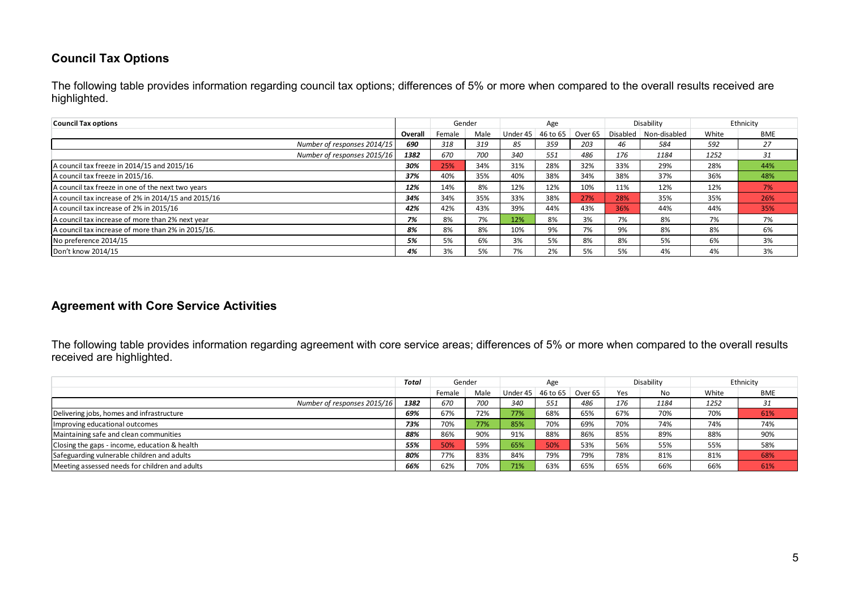### Council Tax Options

The following table provides information regarding council tax options; differences of 5% or more when compared to the overall results received are highlighted.

| <b>Council Tax options</b>                          |         |        | Gender |          | Age        |         |          | Disability   |       | Ethnicity  |
|-----------------------------------------------------|---------|--------|--------|----------|------------|---------|----------|--------------|-------|------------|
|                                                     | Overall | Female | Male   | Under 45 | $46$ to 65 | Over 65 | Disabled | Non-disabled | White | <b>BME</b> |
| Number of responses 2014/15                         | 690     | 318    | 319    | 85       | 359        | 203     | 46       | 584          | 592   | 27         |
| Number of responses 2015/16                         | 1382    | 670    | 700    | 340      | 551        | 486     | 176      | 1184         | 1252  | 31         |
| A council tax freeze in 2014/15 and 2015/16         | 30%     | 25%    | 34%    | 31%      | 28%        | 32%     | 33%      | 29%          | 28%   | 44%        |
| A council tax freeze in 2015/16.                    | 37%     | 40%    | 35%    | 40%      | 38%        | 34%     | 38%      | 37%          | 36%   | 48%        |
| A council tax freeze in one of the next two years   | 12%     | 14%    | 8%     | 12%      | 12%        | 10%     | 11%      | 12%          | 12%   | 7%         |
| A council tax increase of 2% in 2014/15 and 2015/16 | 34%     | 34%    | 35%    | 33%      | 38%        | 27%     | 28%      | 35%          | 35%   | 26%        |
| A council tax increase of 2% in 2015/16             | 42%     | 42%    | 43%    | 39%      | 44%        | 43%     | 36%      | 44%          | 44%   | 35%        |
| A council tax increase of more than 2% next year    | 7%      | 8%     | 7%     | 12%      | 8%         | 3%      | 7%       | 8%           | 7%    | 7%         |
| A council tax increase of more than 2% in 2015/16.  | 8%      | 8%     | 8%     | 10%      | 9%         | 7%      | 9%       | 8%           | 8%    | 6%         |
| No preference 2014/15                               | 5%      | 5%     | 6%     | 3%       | 5%         | 8%      | 8%       | 5%           | 6%    | 3%         |
| Don't know 2014/15                                  | 4%      | 3%     | 5%     | 7%       | 2%         | 5%      | 5%       | 4%           | 4%    | 3%         |

#### Agreement with Core Service Activities

The following table provides information regarding agreement with core service areas; differences of 5% or more when compared to the overall results received are highlighted.

|                                                | Total |        | Gender |                                           | Age |     |     | Disability |       | Ethnicity  |
|------------------------------------------------|-------|--------|--------|-------------------------------------------|-----|-----|-----|------------|-------|------------|
|                                                |       | Female | Male   | Under $45 \mid 46$ to $65 \mid$ Over $65$ |     |     | Yes | No         | White | <b>BME</b> |
| Number of responses 2015/16                    | 1382  | 670    | 700    | 340                                       | 551 | 486 | 176 | 1184       | 1252  | 31         |
| Delivering jobs, homes and infrastructure      | 69%   | 67%    | 72%    | 77%                                       | 68% | 65% | 67% | 70%        | 70%   | 61%        |
| Improving educational outcomes                 | 73%   | 70%    | 77%    | 85%                                       | 70% | 69% | 70% | 74%        | 74%   | 74%        |
| Maintaining safe and clean communities         | 88%   | 86%    | 90%    | 91%                                       | 88% | 86% | 85% | 89%        | 88%   | 90%        |
| Closing the gaps - income, education & health  | 55%   | 50%    | 59%    | 65%                                       | 50% | 53% | 56% | 55%        | 55%   | 58%        |
| Safeguarding vulnerable children and adults    | 80%   | 77%    | 83%    | 84%                                       | 79% | 79% | 78% | 81%        | 81%   | 68%        |
| Meeting assessed needs for children and adults | 66%   | 62%    | 70%    | 71%                                       | 63% | 65% | 65% | 66%        | 66%   | 61%        |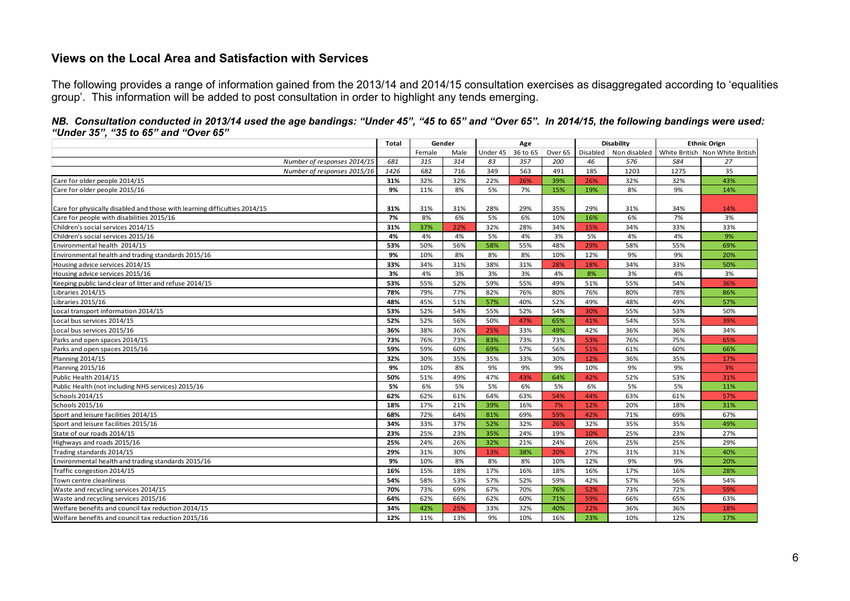#### Views on the Local Area and Satisfaction with Services

The following provides a range of information gained from the 2013/14 and 2014/15 consultation exercises as disaggregated according to 'equalities group'. This information will be added to post consultation in order to highlight any tends emerging.

|                                                                           | <b>Total</b> |        | Gender |     | Age                 |         | <b>Disability</b> |      | <b>Ethnic Orign</b> |                                                       |
|---------------------------------------------------------------------------|--------------|--------|--------|-----|---------------------|---------|-------------------|------|---------------------|-------------------------------------------------------|
|                                                                           |              | Female | Male   |     | Under $45$ 36 to 65 | Over 65 |                   |      |                     | Disabled Non disabled White British Non White British |
| Number of responses 2014/15                                               | 681          | 315    | 314    | 83  | 357                 | 200     | 46                | 576  | 584                 | 27                                                    |
| Number of responses 2015/16                                               | 1426         | 682    | 716    | 349 | 563                 | 491     | 185               | 1203 | 1275                | 35                                                    |
| Care for older people 2014/15                                             | 31%          | 32%    | 32%    | 22% | 26%                 | 39%     | 26%               | 32%  | 32%                 | 43%                                                   |
| Care for older people 2015/16                                             | 9%           | 11%    | 8%     | 5%  | 7%                  | 15%     | 19%               | 8%   | 9%                  | 14%                                                   |
|                                                                           |              |        |        |     |                     |         |                   |      |                     |                                                       |
| Care for physically disabled and those with learning difficulties 2014/15 | 31%          | 31%    | 31%    | 28% | 29%                 | 35%     | 29%               | 31%  | 34%                 | 14%                                                   |
| Care for people with disabilities 2015/16                                 | 7%           | 8%     | 6%     | 5%  | 6%                  | 10%     | 16%               | 6%   | 7%                  | 3%                                                    |
| Children's social services 2014/15                                        | 31%          | 37%    | 22%    | 32% | 28%                 | 34%     | 15%               | 34%  | 33%                 | 33%                                                   |
| Children's social services 2015/16                                        | 4%           | 4%     | 4%     | 5%  | 4%                  | 3%      | 5%                | 4%   | 4%                  | 9%                                                    |
| Environmental health 2014/15                                              | 53%          | 50%    | 56%    | 58% | 55%                 | 48%     | 29%               | 58%  | 55%                 | 69%                                                   |
| Environmental health and trading standards 2015/16                        | 9%           | 10%    | 8%     | 8%  | 8%                  | 10%     | 12%               | 9%   | 9%                  | 20%                                                   |
| Housing advice services 2014/15                                           | 33%          | 34%    | 31%    | 38% | 31%                 | 28%     | 18%               | 34%  | 33%                 | 50%                                                   |
| Housing advice services 2015/16                                           | 3%           | 4%     | 3%     | 3%  | 3%                  | 4%      | 8%                | 3%   | 4%                  | 3%                                                    |
| Keeping public land clear of litter and refuse 2014/15                    | 53%          | 55%    | 52%    | 59% | 55%                 | 49%     | 51%               | 55%  | 54%                 | 36%                                                   |
| Libraries 2014/15                                                         | 78%          | 79%    | 77%    | 82% | 76%                 | 80%     | 76%               | 80%  | 78%                 | 86%                                                   |
| Libraries 2015/16                                                         | 48%          | 45%    | 51%    | 57% | 40%                 | 52%     | 49%               | 48%  | 49%                 | 57%                                                   |
| Local transport information 2014/15                                       | 53%          | 52%    | 54%    | 55% | 52%                 | 54%     | 30%               | 55%  | 53%                 | 50%                                                   |
| Local bus services 2014/15                                                | 52%          | 52%    | 56%    | 50% | 47%                 | 65%     | 41%               | 54%  | 55%                 | 39%                                                   |
| Local bus services 2015/16                                                | 36%          | 38%    | 36%    | 25% | 33%                 | 49%     | 42%               | 36%  | 36%                 | 34%                                                   |
| Parks and open spaces 2014/15                                             | 73%          | 76%    | 73%    | 83% | 73%                 | 73%     | 53%               | 76%  | 75%                 | 65%                                                   |
| Parks and open spaces 2015/16                                             | 59%          | 59%    | 60%    | 69% | 57%                 | 56%     | 51%               | 61%  | 60%                 | 66%                                                   |
| Planning 2014/15                                                          | 32%          | 30%    | 35%    | 35% | 33%                 | 30%     | 12%               | 36%  | 35%                 | 17%                                                   |
| Planning 2015/16                                                          | 9%           | 10%    | 8%     | 9%  | 9%                  | 9%      | 10%               | 9%   | 9%                  | 3%                                                    |
| Public Health 2014/15                                                     | 50%          | 51%    | 49%    | 47% | 43%                 | 64%     | 42%               | 52%  | 53%                 | 31%                                                   |
| Public Health (not including NHS services) 2015/16                        | 5%           | 6%     | 5%     | 5%  | 6%                  | 5%      | 6%                | 5%   | 5%                  | 11%                                                   |
| Schools 2014/15                                                           | 62%          | 62%    | 61%    | 64% | 63%                 | 54%     | 44%               | 63%  | 61%                 | 57%                                                   |
| Schools 2015/16                                                           | 18%          | 17%    | 21%    | 39% | 16%                 | 7%      | 12%               | 20%  | 18%                 | 31%                                                   |
| Sport and leisure facilities 2014/15                                      | 68%          | 72%    | 64%    | 81% | 69%                 | 59%     | 42%               | 71%  | 69%                 | 67%                                                   |
| Sport and leisure facilities 2015/16                                      | 34%          | 33%    | 37%    | 52% | 32%                 | 26%     | 32%               | 35%  | 35%                 | 49%                                                   |
| State of our roads 2014/15                                                | 23%          | 25%    | 23%    | 35% | 24%                 | 19%     | 10%               | 25%  | 23%                 | 27%                                                   |
| Highways and roads 2015/16                                                | 25%          | 24%    | 26%    | 32% | 21%                 | 24%     | 26%               | 25%  | 25%                 | 29%                                                   |
| Trading standards 2014/15                                                 | 29%          | 31%    | 30%    | 13% | 38%                 | 20%     | 27%               | 31%  | 31%                 | 40%                                                   |
| Environmental health and trading standards 2015/16                        | 9%           | 10%    | 8%     | 8%  | 8%                  | 10%     | 12%               | 9%   | 9%                  | 20%                                                   |
| Traffic congestion 2014/15                                                | 16%          | 15%    | 18%    | 17% | 16%                 | 18%     | 16%               | 17%  | 16%                 | 28%                                                   |
| Town centre cleanliness                                                   | 54%          | 58%    | 53%    | 57% | 52%                 | 59%     | 42%               | 57%  | 56%                 | 54%                                                   |
| Waste and recycling services 2014/15                                      | 70%          | 73%    | 69%    | 67% | 70%                 | 76%     | 52%               | 73%  | 72%                 | 59%                                                   |
| Waste and recycling services 2015/16                                      | 64%          | 62%    | 66%    | 62% | 60%                 | 71%     | 59%               | 66%  | 65%                 | 63%                                                   |
| Welfare benefits and council tax reduction 2014/15                        | 34%          | 42%    | 25%    | 33% | 32%                 | 40%     | 22%               | 36%  | 36%                 | 18%                                                   |
| Welfare benefits and council tax reduction 2015/16                        | 12%          | 11%    | 13%    | 9%  | 10%                 | 16%     | 23%               | 10%  | 12%                 | 17%                                                   |

*NB. Consultation conducted in 2013/14 used the age bandings: "Under 45", "45 to 65" and "Over 65". In 2014/15, the following bandings were used: "Under 35", "35 to 65" and "Over 65"*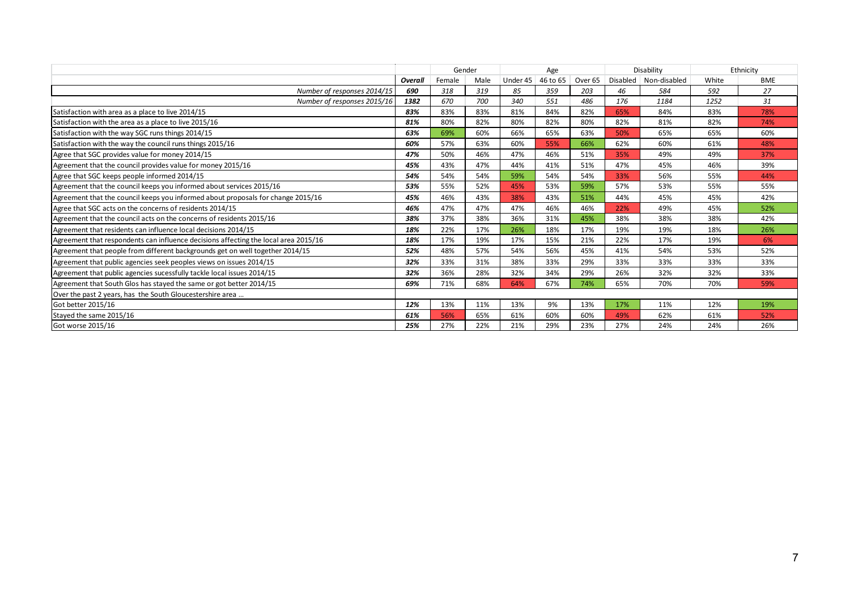|                                                                                     |         | Gender |      | Age      |          |                    | Disability |                         | Ethnicity |            |
|-------------------------------------------------------------------------------------|---------|--------|------|----------|----------|--------------------|------------|-------------------------|-----------|------------|
|                                                                                     | Overall | Female | Male | Under 45 | 46 to 65 | Over <sub>65</sub> |            | Disabled   Non-disabled | White     | <b>BME</b> |
| Number of responses 2014/15                                                         | 690     | 318    | 319  | 85       | 359      | 203                | 46         | 584                     | 592       | 27         |
| Number of responses 2015/16                                                         | 1382    | 670    | 700  | 340      | 551      | 486                | 176        | 1184                    | 1252      | 31         |
| Satisfaction with area as a place to live 2014/15                                   | 83%     | 83%    | 83%  | 81%      | 84%      | 82%                | 65%        | 84%                     | 83%       | 78%        |
| Satisfaction with the area as a place to live 2015/16                               | 81%     | 80%    | 82%  | 80%      | 82%      | 80%                | 82%        | 81%                     | 82%       | 74%        |
| Satisfaction with the way SGC runs things 2014/15                                   | 63%     | 69%    | 60%  | 66%      | 65%      | 63%                | 50%        | 65%                     | 65%       | 60%        |
| Satisfaction with the way the council runs things 2015/16                           | 60%     | 57%    | 63%  | 60%      | 55%      | 66%                | 62%        | 60%                     | 61%       | 48%        |
| Agree that SGC provides value for money 2014/15                                     | 47%     | 50%    | 46%  | 47%      | 46%      | 51%                | 35%        | 49%                     | 49%       | 37%        |
| Agreement that the council provides value for money 2015/16                         | 45%     | 43%    | 47%  | 44%      | 41%      | 51%                | 47%        | 45%                     | 46%       | 39%        |
| Agree that SGC keeps people informed 2014/15                                        | 54%     | 54%    | 54%  | 59%      | 54%      | 54%                | 33%        | 56%                     | 55%       | 44%        |
| Agreement that the council keeps you informed about services 2015/16                | 53%     | 55%    | 52%  | 45%      | 53%      | 59%                | 57%        | 53%                     | 55%       | 55%        |
| Agreement that the council keeps you informed about proposals for change 2015/16    | 45%     | 46%    | 43%  | 38%      | 43%      | 51%                | 44%        | 45%                     | 45%       | 42%        |
| Agree that SGC acts on the concerns of residents 2014/15                            | 46%     | 47%    | 47%  | 47%      | 46%      | 46%                | 22%        | 49%                     | 45%       | 52%        |
| Agreement that the council acts on the concerns of residents 2015/16                | 38%     | 37%    | 38%  | 36%      | 31%      | 45%                | 38%        | 38%                     | 38%       | 42%        |
| Agreement that residents can influence local decisions 2014/15                      | 18%     | 22%    | 17%  | 26%      | 18%      | 17%                | 19%        | 19%                     | 18%       | 26%        |
| Agreement that respondents can influence decisions affecting the local area 2015/16 | 18%     | 17%    | 19%  | 17%      | 15%      | 21%                | 22%        | 17%                     | 19%       | 6%         |
| Agreement that people from different backgrounds get on well together 2014/15       | 52%     | 48%    | 57%  | 54%      | 56%      | 45%                | 41%        | 54%                     | 53%       | 52%        |
| Agreement that public agencies seek peoples views on issues 2014/15                 | 32%     | 33%    | 31%  | 38%      | 33%      | 29%                | 33%        | 33%                     | 33%       | 33%        |
| Agreement that public agencies sucessfully tackle local issues 2014/15              | 32%     | 36%    | 28%  | 32%      | 34%      | 29%                | 26%        | 32%                     | 32%       | 33%        |
| Agreement that South Glos has stayed the same or got better 2014/15                 | 69%     | 71%    | 68%  | 64%      | 67%      | 74%                | 65%        | 70%                     | 70%       | 59%        |
| Over the past 2 years, has the South Gloucestershire area                           |         |        |      |          |          |                    |            |                         |           |            |
| Got better 2015/16                                                                  | 12%     | 13%    | 11%  | 13%      | 9%       | 13%                | 17%        | 11%                     | 12%       | 19%        |
| Stayed the same 2015/16                                                             | 61%     | 56%    | 65%  | 61%      | 60%      | 60%                | 49%        | 62%                     | 61%       | 52%        |
| Got worse 2015/16                                                                   | 25%     | 27%    | 22%  | 21%      | 29%      | 23%                | 27%        | 24%                     | 24%       | 26%        |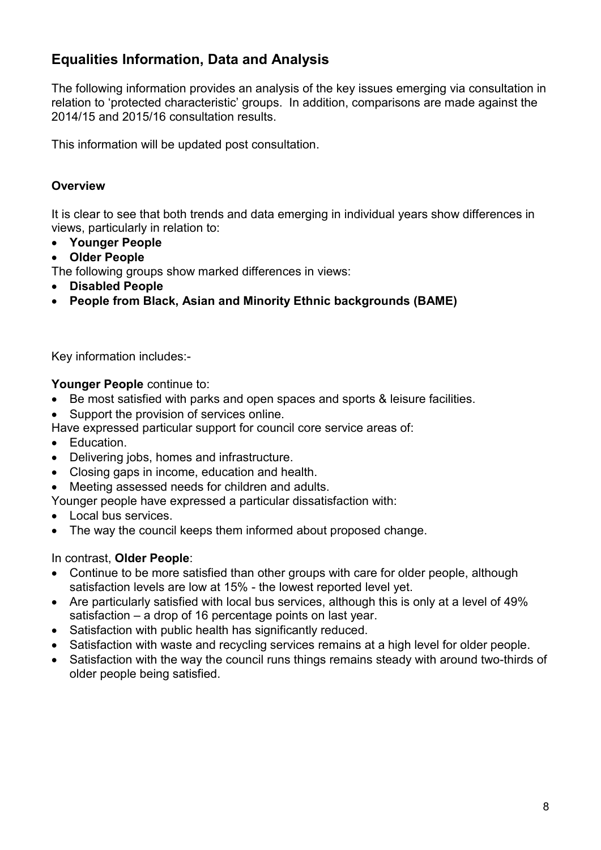# Equalities Information, Data and Analysis

The following information provides an analysis of the key issues emerging via consultation in relation to 'protected characteristic' groups. In addition, comparisons are made against the 2014/15 and 2015/16 consultation results.

This information will be updated post consultation.

### **Overview**

It is clear to see that both trends and data emerging in individual years show differences in views, particularly in relation to:

- Younger People
- Older People

The following groups show marked differences in views:

- Disabled People
- People from Black, Asian and Minority Ethnic backgrounds (BAME)

Key information includes:-

Younger People continue to:

- Be most satisfied with parks and open spaces and sports & leisure facilities.
- Support the provision of services online.

Have expressed particular support for council core service areas of:

- Education.
- Delivering jobs, homes and infrastructure.
- Closing gaps in income, education and health.
- Meeting assessed needs for children and adults.

Younger people have expressed a particular dissatisfaction with:

- Local bus services.
- The way the council keeps them informed about proposed change.

In contrast, Older People:

- Continue to be more satisfied than other groups with care for older people, although satisfaction levels are low at 15% - the lowest reported level yet.
- Are particularly satisfied with local bus services, although this is only at a level of 49% satisfaction – a drop of 16 percentage points on last year.
- Satisfaction with public health has significantly reduced.
- Satisfaction with waste and recycling services remains at a high level for older people.
- Satisfaction with the way the council runs things remains steady with around two-thirds of older people being satisfied.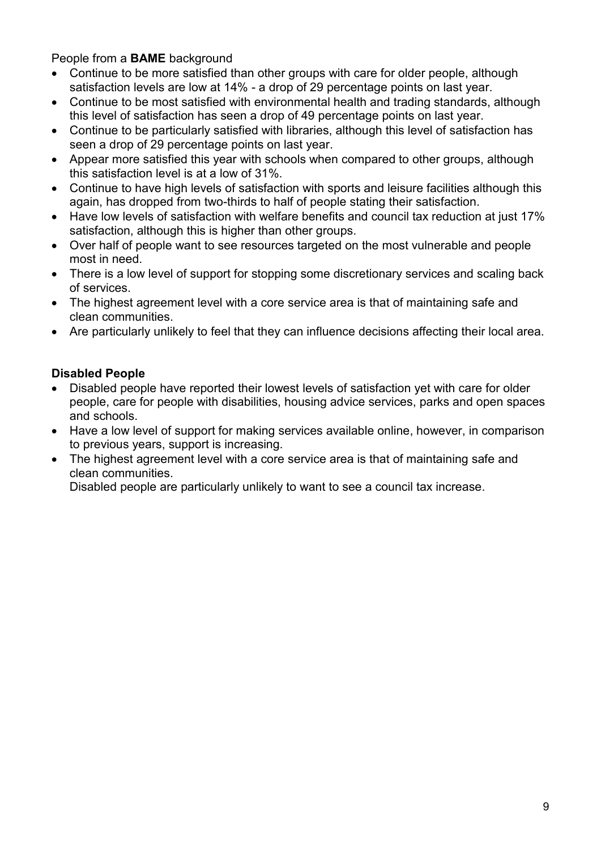People from a BAME background

- Continue to be more satisfied than other groups with care for older people, although satisfaction levels are low at 14% - a drop of 29 percentage points on last year.
- Continue to be most satisfied with environmental health and trading standards, although this level of satisfaction has seen a drop of 49 percentage points on last year.
- Continue to be particularly satisfied with libraries, although this level of satisfaction has seen a drop of 29 percentage points on last year.
- Appear more satisfied this year with schools when compared to other groups, although this satisfaction level is at a low of 31%.
- Continue to have high levels of satisfaction with sports and leisure facilities although this again, has dropped from two-thirds to half of people stating their satisfaction.
- Have low levels of satisfaction with welfare benefits and council tax reduction at just 17% satisfaction, although this is higher than other groups.
- Over half of people want to see resources targeted on the most vulnerable and people most in need.
- There is a low level of support for stopping some discretionary services and scaling back of services.
- The highest agreement level with a core service area is that of maintaining safe and clean communities.
- Are particularly unlikely to feel that they can influence decisions affecting their local area.

### Disabled People

- Disabled people have reported their lowest levels of satisfaction yet with care for older people, care for people with disabilities, housing advice services, parks and open spaces and schools.
- Have a low level of support for making services available online, however, in comparison to previous years, support is increasing.
- The highest agreement level with a core service area is that of maintaining safe and clean communities.

Disabled people are particularly unlikely to want to see a council tax increase.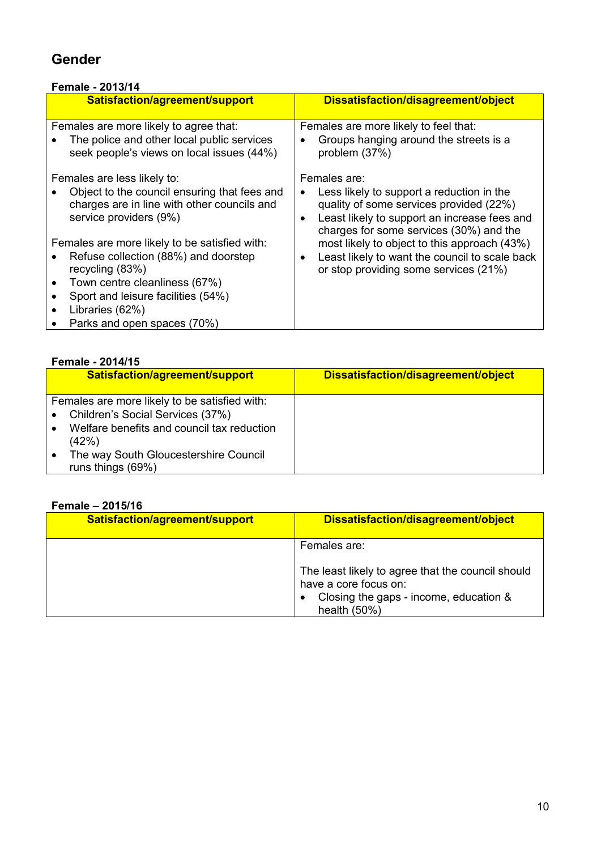# Gender

### Female - 2013/14

| Satisfaction/agreement/support                                                                                                                                                                                                    | Dissatisfaction/disagreement/object                                                                                                                                                                          |
|-----------------------------------------------------------------------------------------------------------------------------------------------------------------------------------------------------------------------------------|--------------------------------------------------------------------------------------------------------------------------------------------------------------------------------------------------------------|
| Females are more likely to agree that:<br>The police and other local public services<br>seek people's views on local issues (44%)                                                                                                 | Females are more likely to feel that:<br>Groups hanging around the streets is a<br>٠<br>problem (37%)                                                                                                        |
| Females are less likely to:<br>Object to the council ensuring that fees and<br>charges are in line with other councils and<br>service providers (9%)                                                                              | Females are:<br>Less likely to support a reduction in the<br>quality of some services provided (22%)<br>Least likely to support an increase fees and<br>$\bullet$<br>charges for some services (30%) and the |
| Females are more likely to be satisfied with:<br>Refuse collection (88%) and doorstep<br>recycling (83%)<br>Town centre cleanliness (67%)<br>Sport and leisure facilities (54%)<br>Libraries (62%)<br>Parks and open spaces (70%) | most likely to object to this approach (43%)<br>Least likely to want the council to scale back<br>٠<br>or stop providing some services (21%)                                                                 |

### Female - 2014/15

| <b>Felliale - 2014/19</b>                                                                                                                                                         |                                     |
|-----------------------------------------------------------------------------------------------------------------------------------------------------------------------------------|-------------------------------------|
| Satisfaction/agreement/support                                                                                                                                                    | Dissatisfaction/disagreement/object |
| Females are more likely to be satisfied with:<br>Children's Social Services (37%)<br>Welfare benefits and council tax reduction<br>(42%)<br>The way South Gloucestershire Council |                                     |
| runs things (69%)                                                                                                                                                                 |                                     |

### Female – 2015/16

| Satisfaction/agreement/support | Dissatisfaction/disagreement/object                                                                                                    |
|--------------------------------|----------------------------------------------------------------------------------------------------------------------------------------|
|                                | Females are:                                                                                                                           |
|                                | The least likely to agree that the council should<br>have a core focus on:<br>Closing the gaps - income, education &<br>health $(50%)$ |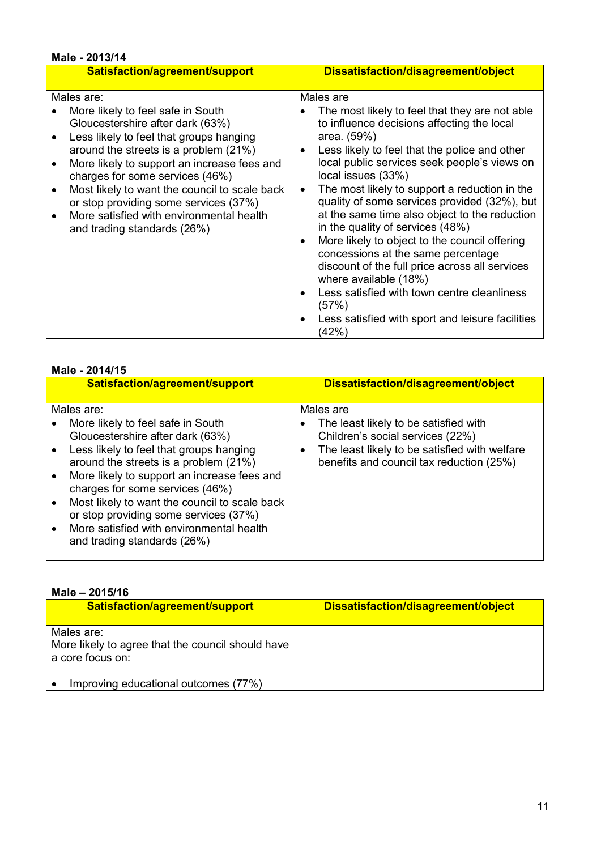| Male - 2013/14                                |                                                               |
|-----------------------------------------------|---------------------------------------------------------------|
| Satisfaction/agreement/support                | Dissatisfaction/disagreement/object                           |
|                                               |                                                               |
| Males are:                                    | Males are                                                     |
| More likely to feel safe in South             | The most likely to feel that they are not able                |
| Gloucestershire after dark (63%)              | to influence decisions affecting the local                    |
| Less likely to feel that groups hanging       | area. (59%)                                                   |
| around the streets is a problem (21%)         | Less likely to feel that the police and other<br>$\bullet$    |
| More likely to support an increase fees and   | local public services seek people's views on                  |
| charges for some services (46%)               | local issues (33%)                                            |
| Most likely to want the council to scale back | The most likely to support a reduction in the<br>$\bullet$    |
|                                               | quality of some services provided (32%), but                  |
| or stop providing some services (37%)         |                                                               |
| More satisfied with environmental health      | at the same time also object to the reduction                 |
| and trading standards (26%)                   | in the quality of services (48%)                              |
|                                               | More likely to object to the council offering<br>$\bullet$    |
|                                               | concessions at the same percentage                            |
|                                               | discount of the full price across all services                |
|                                               | where available (18%)                                         |
|                                               | Less satisfied with town centre cleanliness                   |
|                                               | (57%)                                                         |
|                                               | Less satisfied with sport and leisure facilities<br>$\bullet$ |
|                                               | (42%)                                                         |
|                                               |                                                               |

#### Male - 2014/15

| <b>MAIC - 2014/19</b>                                                                                                                                                                                                                                                                                                                                                                                            |                                                                                                                                                                             |
|------------------------------------------------------------------------------------------------------------------------------------------------------------------------------------------------------------------------------------------------------------------------------------------------------------------------------------------------------------------------------------------------------------------|-----------------------------------------------------------------------------------------------------------------------------------------------------------------------------|
| Satisfaction/agreement/support                                                                                                                                                                                                                                                                                                                                                                                   | Dissatisfaction/disagreement/object                                                                                                                                         |
| Males are:                                                                                                                                                                                                                                                                                                                                                                                                       | Males are                                                                                                                                                                   |
| More likely to feel safe in South<br>Gloucestershire after dark (63%)<br>Less likely to feel that groups hanging<br>around the streets is a problem (21%)<br>More likely to support an increase fees and<br>charges for some services (46%)<br>Most likely to want the council to scale back<br>or stop providing some services (37%)<br>More satisfied with environmental health<br>and trading standards (26%) | The least likely to be satisfied with<br>Children's social services (22%)<br>The least likely to be satisfied with welfare<br>٠<br>benefits and council tax reduction (25%) |
|                                                                                                                                                                                                                                                                                                                                                                                                                  |                                                                                                                                                                             |

| Male - 2015/16                                                                      |                                     |
|-------------------------------------------------------------------------------------|-------------------------------------|
| Satisfaction/agreement/support                                                      | Dissatisfaction/disagreement/object |
| Males are:<br>More likely to agree that the council should have<br>a core focus on: |                                     |
| Improving educational outcomes (77%)                                                |                                     |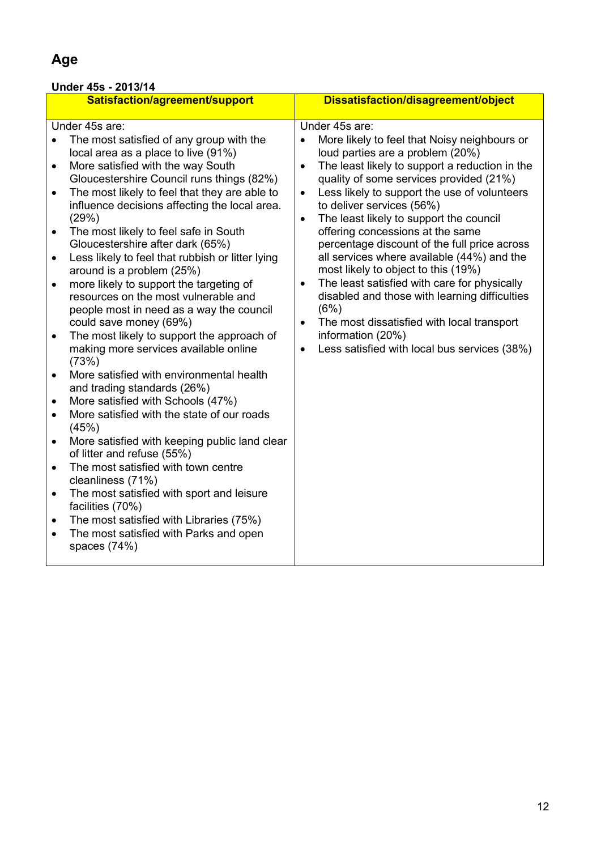# Age

### Under 45s - 2013/14

|           | Satisfaction/agreement/support                   |           | Dissatisfaction/disagreement/object            |
|-----------|--------------------------------------------------|-----------|------------------------------------------------|
|           | Under 45s are:                                   |           | Under 45s are:                                 |
|           |                                                  |           |                                                |
| $\bullet$ | The most satisfied of any group with the         |           | More likely to feel that Noisy neighbours or   |
|           | local area as a place to live (91%)              |           | loud parties are a problem (20%)               |
| $\bullet$ | More satisfied with the way South                | $\bullet$ | The least likely to support a reduction in the |
|           | Gloucestershire Council runs things (82%)        |           | quality of some services provided (21%)        |
| $\bullet$ | The most likely to feel that they are able to    | $\bullet$ | Less likely to support the use of volunteers   |
|           | influence decisions affecting the local area.    |           | to deliver services (56%)                      |
|           | (29%)                                            | $\bullet$ | The least likely to support the council        |
| $\bullet$ | The most likely to feel safe in South            |           | offering concessions at the same               |
|           | Gloucestershire after dark (65%)                 |           | percentage discount of the full price across   |
| $\bullet$ | Less likely to feel that rubbish or litter lying |           | all services where available (44%) and the     |
|           | around is a problem (25%)                        |           | most likely to object to this (19%)            |
| $\bullet$ | more likely to support the targeting of          | $\bullet$ | The least satisfied with care for physically   |
|           | resources on the most vulnerable and             |           | disabled and those with learning difficulties  |
|           | people most in need as a way the council         |           | (6%)                                           |
|           | could save money (69%)                           | $\bullet$ | The most dissatisfied with local transport     |
| $\bullet$ | The most likely to support the approach of       |           | information (20%)                              |
|           | making more services available online            | $\bullet$ | Less satisfied with local bus services (38%)   |
|           | (73%)                                            |           |                                                |
| $\bullet$ | More satisfied with environmental health         |           |                                                |
|           | and trading standards (26%)                      |           |                                                |
| $\bullet$ | More satisfied with Schools (47%)                |           |                                                |
| $\bullet$ | More satisfied with the state of our roads       |           |                                                |
|           | (45%)                                            |           |                                                |
| $\bullet$ | More satisfied with keeping public land clear    |           |                                                |
|           | of litter and refuse (55%)                       |           |                                                |
| $\bullet$ | The most satisfied with town centre              |           |                                                |
|           | cleanliness (71%)                                |           |                                                |
| $\bullet$ | The most satisfied with sport and leisure        |           |                                                |
|           | facilities (70%)                                 |           |                                                |
| ٠         | The most satisfied with Libraries (75%)          |           |                                                |
| $\bullet$ | The most satisfied with Parks and open           |           |                                                |
|           | spaces $(74%)$                                   |           |                                                |
|           |                                                  |           |                                                |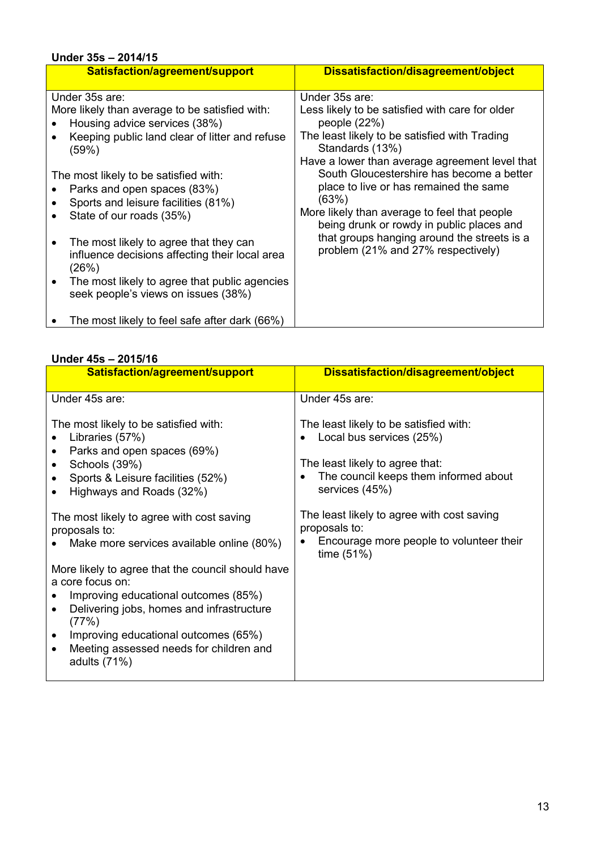#### Under 35s – 2014/15 Satisfaction/agreement/support Dissatisfaction/disagreement/object Under 35s are: More likely than average to be satisfied with: • Housing advice services (38%) • Keeping public land clear of litter and refuse (59%) The most likely to be satisfied with: • Parks and open spaces (83%) • Sports and leisure facilities (81%) • State of our roads (35%) • The most likely to agree that they can influence decisions affecting their local area (26%) • The most likely to agree that public agencies seek people's views on issues (38%) • The most likely to feel safe after dark (66%) Under 35s are: Less likely to be satisfied with care for older people (22%) The least likely to be satisfied with Trading Standards (13%) Have a lower than average agreement level that South Gloucestershire has become a better place to live or has remained the same (63%) More likely than average to feel that people being drunk or rowdy in public places and that groups hanging around the streets is a problem (21% and 27% respectively)

#### Under 45s – 2015/16

| Satisfaction/agreement/support                                                                                                                                                                                                                                                                   | Dissatisfaction/disagreement/object                                                                                                                                           |
|--------------------------------------------------------------------------------------------------------------------------------------------------------------------------------------------------------------------------------------------------------------------------------------------------|-------------------------------------------------------------------------------------------------------------------------------------------------------------------------------|
| Under 45s are:                                                                                                                                                                                                                                                                                   | Under 45s are:                                                                                                                                                                |
| The most likely to be satisfied with:<br>Libraries (57%)<br>Parks and open spaces (69%)<br>Schools (39%)<br>٠<br>Sports & Leisure facilities (52%)<br>Highways and Roads (32%)                                                                                                                   | The least likely to be satisfied with:<br>Local bus services (25%)<br>The least likely to agree that:<br>The council keeps them informed about<br>$\bullet$<br>services (45%) |
| The most likely to agree with cost saving<br>proposals to:<br>Make more services available online (80%)                                                                                                                                                                                          | The least likely to agree with cost saving<br>proposals to:<br>Encourage more people to volunteer their<br>time $(51%)$                                                       |
| More likely to agree that the council should have<br>a core focus on:<br>Improving educational outcomes (85%)<br>Delivering jobs, homes and infrastructure<br>$\bullet$<br>(77%)<br>Improving educational outcomes (65%)<br>$\bullet$<br>Meeting assessed needs for children and<br>adults (71%) |                                                                                                                                                                               |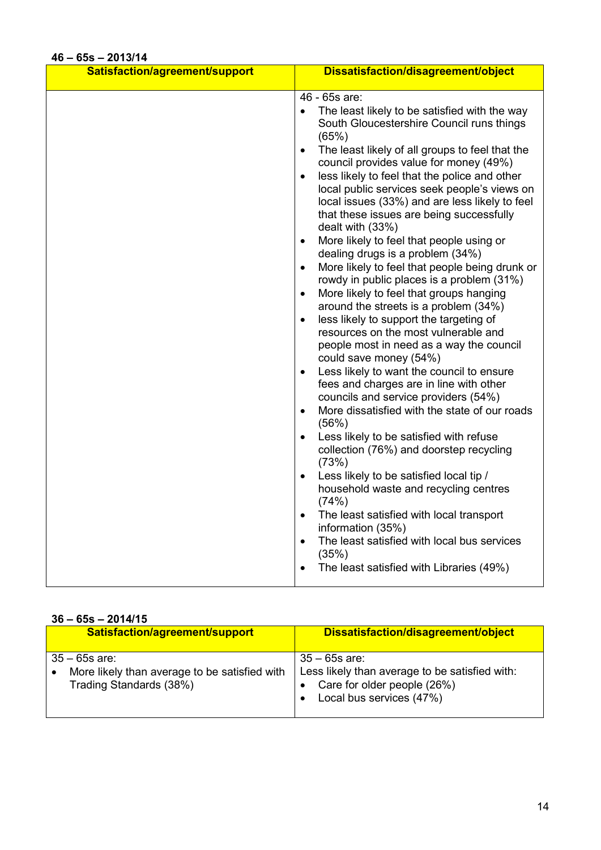### 46 – 65s – 2013/14

| Satisfaction/agreement/support | Dissatisfaction/disagreement/object                                                                                                                                                                                                                                                                                                                                                                                                                                                                                                                                                                                                                                                                                                                                                                                                                                                                                                                                                                                                                                                                                                                                                                                                                           |
|--------------------------------|---------------------------------------------------------------------------------------------------------------------------------------------------------------------------------------------------------------------------------------------------------------------------------------------------------------------------------------------------------------------------------------------------------------------------------------------------------------------------------------------------------------------------------------------------------------------------------------------------------------------------------------------------------------------------------------------------------------------------------------------------------------------------------------------------------------------------------------------------------------------------------------------------------------------------------------------------------------------------------------------------------------------------------------------------------------------------------------------------------------------------------------------------------------------------------------------------------------------------------------------------------------|
|                                |                                                                                                                                                                                                                                                                                                                                                                                                                                                                                                                                                                                                                                                                                                                                                                                                                                                                                                                                                                                                                                                                                                                                                                                                                                                               |
| 40 – 005 – ZUTJ/T4             | 46 - 65s are:<br>The least likely to be satisfied with the way<br>South Gloucestershire Council runs things<br>(65%)<br>The least likely of all groups to feel that the<br>$\bullet$<br>council provides value for money (49%)<br>less likely to feel that the police and other<br>$\bullet$<br>local public services seek people's views on<br>local issues (33%) and are less likely to feel<br>that these issues are being successfully<br>dealt with (33%)<br>More likely to feel that people using or<br>$\bullet$<br>dealing drugs is a problem (34%)<br>More likely to feel that people being drunk or<br>$\bullet$<br>rowdy in public places is a problem (31%)<br>More likely to feel that groups hanging<br>$\bullet$<br>around the streets is a problem (34%)<br>less likely to support the targeting of<br>$\bullet$<br>resources on the most vulnerable and<br>people most in need as a way the council<br>could save money (54%)<br>Less likely to want the council to ensure<br>$\bullet$<br>fees and charges are in line with other<br>councils and service providers (54%)<br>More dissatisfied with the state of our roads<br>٠<br>(56%)<br>Less likely to be satisfied with refuse<br>$\bullet$<br>collection (76%) and doorstep recycling |
|                                | (73%)<br>Less likely to be satisfied local tip /<br>$\bullet$<br>household waste and recycling centres<br>(74%)                                                                                                                                                                                                                                                                                                                                                                                                                                                                                                                                                                                                                                                                                                                                                                                                                                                                                                                                                                                                                                                                                                                                               |
|                                | The least satisfied with local transport<br>information (35%)                                                                                                                                                                                                                                                                                                                                                                                                                                                                                                                                                                                                                                                                                                                                                                                                                                                                                                                                                                                                                                                                                                                                                                                                 |
|                                | The least satisfied with local bus services<br>$\bullet$<br>(35%)                                                                                                                                                                                                                                                                                                                                                                                                                                                                                                                                                                                                                                                                                                                                                                                                                                                                                                                                                                                                                                                                                                                                                                                             |
|                                | The least satisfied with Libraries (49%)<br>$\bullet$                                                                                                                                                                                                                                                                                                                                                                                                                                                                                                                                                                                                                                                                                                                                                                                                                                                                                                                                                                                                                                                                                                                                                                                                         |

#### $36 - 65s - 2014/15$

| .<br>----                                                                                    |                                                                                                                              |  |
|----------------------------------------------------------------------------------------------|------------------------------------------------------------------------------------------------------------------------------|--|
| Satisfaction/agreement/support                                                               | Dissatisfaction/disagreement/object                                                                                          |  |
| $35 - 65$ s are:<br>More likely than average to be satisfied with<br>Trading Standards (38%) | $35 - 65s$ are:<br>Less likely than average to be satisfied with:<br>Care for older people (26%)<br>Local bus services (47%) |  |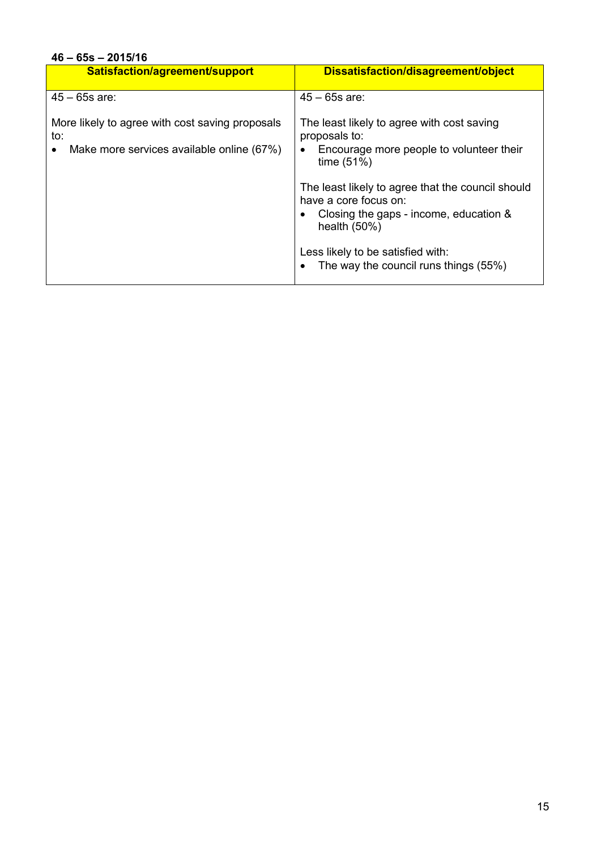# 46 – 65s – 2015/16

| Satisfaction/agreement/support                                                                      | Dissatisfaction/disagreement/object                                                                                                    |
|-----------------------------------------------------------------------------------------------------|----------------------------------------------------------------------------------------------------------------------------------------|
| $45 - 65s$ are:                                                                                     | $45 - 65s$ are:                                                                                                                        |
| More likely to agree with cost saving proposals<br>to:<br>Make more services available online (67%) | The least likely to agree with cost saving<br>proposals to:<br>Encourage more people to volunteer their<br>time $(51%)$                |
|                                                                                                     | The least likely to agree that the council should<br>have a core focus on:<br>Closing the gaps - income, education &<br>health $(50%)$ |
|                                                                                                     | Less likely to be satisfied with:<br>The way the council runs things (55%)                                                             |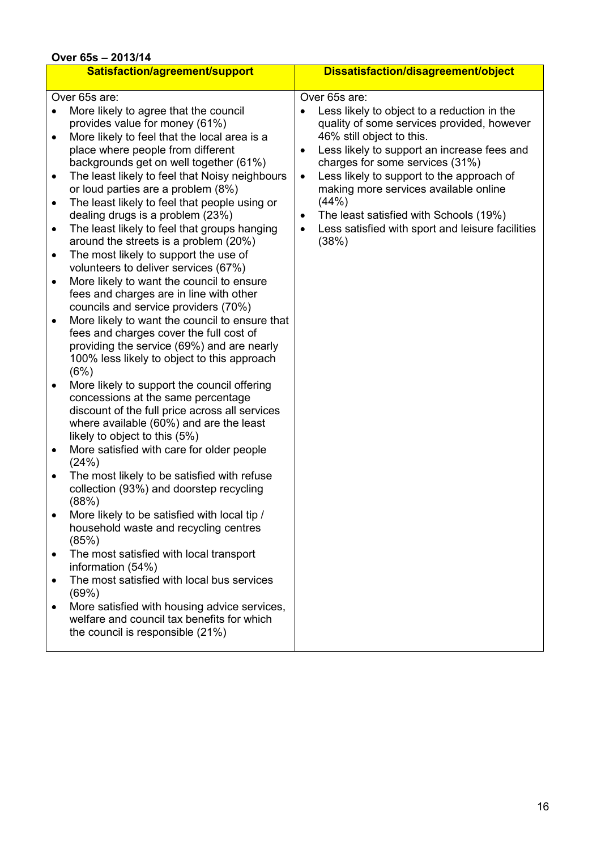| Over 65s - 2013/14                                                                                                                                                                                                                                                                                                                                                                                                                                                                                                                                                                                                                                                                                                                                                                                                                                                                                                                                                                                                                                                                                                                                                                                                                                                                                                                                                                                                                                                                                                                                                                                                                                                                                                                                                                            |                                                                                                                                                                                                                                                                                                                                                                                                                                                                                      |  |  |  |
|-----------------------------------------------------------------------------------------------------------------------------------------------------------------------------------------------------------------------------------------------------------------------------------------------------------------------------------------------------------------------------------------------------------------------------------------------------------------------------------------------------------------------------------------------------------------------------------------------------------------------------------------------------------------------------------------------------------------------------------------------------------------------------------------------------------------------------------------------------------------------------------------------------------------------------------------------------------------------------------------------------------------------------------------------------------------------------------------------------------------------------------------------------------------------------------------------------------------------------------------------------------------------------------------------------------------------------------------------------------------------------------------------------------------------------------------------------------------------------------------------------------------------------------------------------------------------------------------------------------------------------------------------------------------------------------------------------------------------------------------------------------------------------------------------|--------------------------------------------------------------------------------------------------------------------------------------------------------------------------------------------------------------------------------------------------------------------------------------------------------------------------------------------------------------------------------------------------------------------------------------------------------------------------------------|--|--|--|
| Satisfaction/agreement/support                                                                                                                                                                                                                                                                                                                                                                                                                                                                                                                                                                                                                                                                                                                                                                                                                                                                                                                                                                                                                                                                                                                                                                                                                                                                                                                                                                                                                                                                                                                                                                                                                                                                                                                                                                | Dissatisfaction/disagreement/object                                                                                                                                                                                                                                                                                                                                                                                                                                                  |  |  |  |
| Over 65s are:<br>More likely to agree that the council<br>$\bullet$<br>provides value for money (61%)<br>More likely to feel that the local area is a<br>$\bullet$<br>place where people from different<br>backgrounds get on well together (61%)<br>The least likely to feel that Noisy neighbours<br>$\bullet$<br>or loud parties are a problem (8%)<br>The least likely to feel that people using or<br>$\bullet$<br>dealing drugs is a problem (23%)<br>The least likely to feel that groups hanging<br>$\bullet$<br>around the streets is a problem (20%)<br>The most likely to support the use of<br>٠<br>volunteers to deliver services (67%)<br>More likely to want the council to ensure<br>$\bullet$<br>fees and charges are in line with other<br>councils and service providers (70%)<br>More likely to want the council to ensure that<br>٠<br>fees and charges cover the full cost of<br>providing the service (69%) and are nearly<br>100% less likely to object to this approach<br>(6%)<br>More likely to support the council offering<br>٠<br>concessions at the same percentage<br>discount of the full price across all services<br>where available (60%) and are the least<br>likely to object to this (5%)<br>More satisfied with care for older people<br>$\bullet$<br>(24%)<br>The most likely to be satisfied with refuse<br>٠<br>collection (93%) and doorstep recycling<br>(88%)<br>More likely to be satisfied with local tip /<br>household waste and recycling centres<br>(85%)<br>The most satisfied with local transport<br>$\bullet$<br>information (54%)<br>The most satisfied with local bus services<br>٠<br>(69%)<br>More satisfied with housing advice services,<br>٠<br>welfare and council tax benefits for which<br>the council is responsible (21%) | Over 65s are:<br>Less likely to object to a reduction in the<br>quality of some services provided, however<br>46% still object to this.<br>Less likely to support an increase fees and<br>$\bullet$<br>charges for some services (31%)<br>Less likely to support to the approach of<br>$\bullet$<br>making more services available online<br>(44% )<br>The least satisfied with Schools (19%)<br>$\bullet$<br>Less satisfied with sport and leisure facilities<br>$\bullet$<br>(38%) |  |  |  |
|                                                                                                                                                                                                                                                                                                                                                                                                                                                                                                                                                                                                                                                                                                                                                                                                                                                                                                                                                                                                                                                                                                                                                                                                                                                                                                                                                                                                                                                                                                                                                                                                                                                                                                                                                                                               |                                                                                                                                                                                                                                                                                                                                                                                                                                                                                      |  |  |  |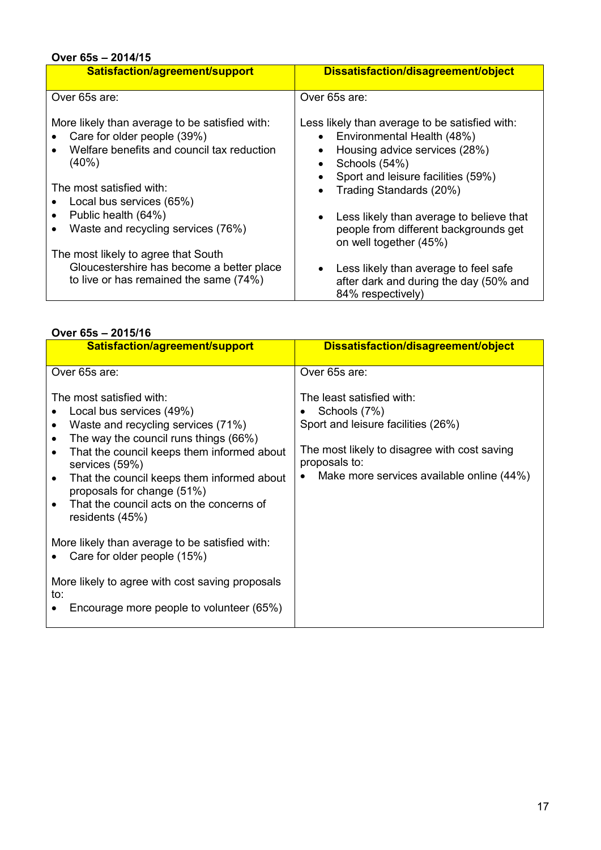# Over 65s – 2014/15

| Satisfaction/agreement/support                                                                                                       | Dissatisfaction/disagreement/object                                                                                                                             |  |  |
|--------------------------------------------------------------------------------------------------------------------------------------|-----------------------------------------------------------------------------------------------------------------------------------------------------------------|--|--|
| Over 65s are:                                                                                                                        | Over 65s are:                                                                                                                                                   |  |  |
| More likely than average to be satisfied with:<br>Care for older people (39%)<br>Welfare benefits and council tax reduction<br>(40%) | Less likely than average to be satisfied with:<br>Environmental Health (48%)<br>$\bullet$<br>Housing advice services (28%)<br>Schools (54%)                     |  |  |
| The most satisfied with:<br>Local bus services (65%)<br>Public health (64%)<br>Waste and recycling services (76%)                    | Sport and leisure facilities (59%)<br>Trading Standards (20%)<br>$\bullet$<br>Less likely than average to believe that<br>people from different backgrounds get |  |  |
| The most likely to agree that South<br>Gloucestershire has become a better place<br>to live or has remained the same (74%)           | on well together (45%)<br>Less likely than average to feel safe<br>after dark and during the day (50% and<br>84% respectively)                                  |  |  |

#### Over 65s – 2015/16

| Satisfaction/agreement/support                                                                                                                                                                                                                                                                                                                                                        | Dissatisfaction/disagreement/object                                                                                                                                                           |
|---------------------------------------------------------------------------------------------------------------------------------------------------------------------------------------------------------------------------------------------------------------------------------------------------------------------------------------------------------------------------------------|-----------------------------------------------------------------------------------------------------------------------------------------------------------------------------------------------|
| Over 65s are:                                                                                                                                                                                                                                                                                                                                                                         | Over 65s are:                                                                                                                                                                                 |
| The most satisfied with:<br>Local bus services (49%)<br>Waste and recycling services (71%)<br>$\bullet$<br>The way the council runs things (66%)<br>$\bullet$<br>That the council keeps them informed about<br>services (59%)<br>That the council keeps them informed about<br>$\bullet$<br>proposals for change (51%)<br>That the council acts on the concerns of<br>residents (45%) | The least satisfied with:<br>Schools (7%)<br>Sport and leisure facilities (26%)<br>The most likely to disagree with cost saving<br>proposals to:<br>Make more services available online (44%) |
| More likely than average to be satisfied with:<br>Care for older people (15%)                                                                                                                                                                                                                                                                                                         |                                                                                                                                                                                               |
| More likely to agree with cost saving proposals<br>to:<br>Encourage more people to volunteer (65%)                                                                                                                                                                                                                                                                                    |                                                                                                                                                                                               |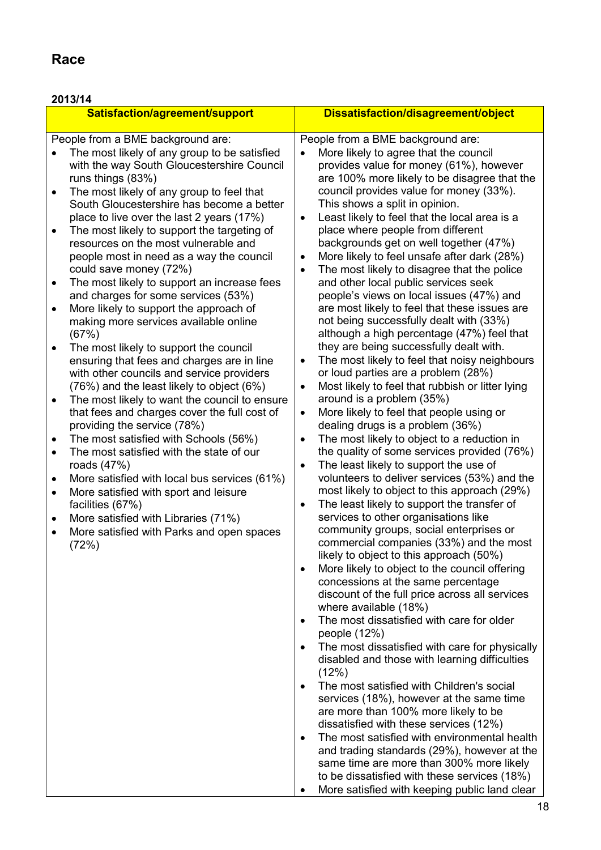# Race

# 2013/14

| Satisfaction/agreement/support |                                                                                                                                                                                                                                                                                                                                    |                | Dissatisfaction/disagreement/object                                                                                                                                                                                                                                                                                                                       |
|--------------------------------|------------------------------------------------------------------------------------------------------------------------------------------------------------------------------------------------------------------------------------------------------------------------------------------------------------------------------------|----------------|-----------------------------------------------------------------------------------------------------------------------------------------------------------------------------------------------------------------------------------------------------------------------------------------------------------------------------------------------------------|
|                                | People from a BME background are:                                                                                                                                                                                                                                                                                                  |                | People from a BME background are:                                                                                                                                                                                                                                                                                                                         |
| $\bullet$                      | The most likely of any group to be satisfied<br>with the way South Gloucestershire Council<br>runs things (83%)<br>The most likely of any group to feel that                                                                                                                                                                       |                | More likely to agree that the council<br>provides value for money (61%), however<br>are 100% more likely to be disagree that the<br>council provides value for money (33%).                                                                                                                                                                               |
|                                | South Gloucestershire has become a better<br>place to live over the last 2 years (17%)                                                                                                                                                                                                                                             | $\bullet$      | This shows a split in opinion.<br>Least likely to feel that the local area is a                                                                                                                                                                                                                                                                           |
| $\bullet$<br>$\bullet$         | The most likely to support the targeting of<br>resources on the most vulnerable and<br>people most in need as a way the council<br>could save money (72%)<br>The most likely to support an increase fees<br>and charges for some services (53%)<br>More likely to support the approach of<br>making more services available online | ٠<br>$\bullet$ | place where people from different<br>backgrounds get on well together (47%)<br>More likely to feel unsafe after dark (28%)<br>The most likely to disagree that the police<br>and other local public services seek<br>people's views on local issues (47%) and<br>are most likely to feel that these issues are<br>not being successfully dealt with (33%) |
| $\bullet$                      | (67%)<br>The most likely to support the council<br>ensuring that fees and charges are in line                                                                                                                                                                                                                                      |                | although a high percentage (47%) feel that<br>they are being successfully dealt with.<br>The most likely to feel that noisy neighbours                                                                                                                                                                                                                    |
|                                | with other councils and service providers<br>(76%) and the least likely to object (6%)                                                                                                                                                                                                                                             | $\bullet$      | or loud parties are a problem (28%)<br>Most likely to feel that rubbish or litter lying                                                                                                                                                                                                                                                                   |
| ٠                              | The most likely to want the council to ensure<br>that fees and charges cover the full cost of<br>providing the service (78%)                                                                                                                                                                                                       | $\bullet$      | around is a problem (35%)<br>More likely to feel that people using or<br>dealing drugs is a problem (36%)                                                                                                                                                                                                                                                 |
| ٠<br>$\bullet$                 | The most satisfied with Schools (56%)<br>The most satisfied with the state of our                                                                                                                                                                                                                                                  |                | The most likely to object to a reduction in<br>the quality of some services provided (76%)                                                                                                                                                                                                                                                                |
| $\bullet$                      | roads $(47%)$<br>More satisfied with local bus services (61%)                                                                                                                                                                                                                                                                      | $\bullet$      | The least likely to support the use of<br>volunteers to deliver services (53%) and the                                                                                                                                                                                                                                                                    |
| $\bullet$                      | More satisfied with sport and leisure<br>facilities (67%)                                                                                                                                                                                                                                                                          | ٠              | most likely to object to this approach (29%)<br>The least likely to support the transfer of                                                                                                                                                                                                                                                               |
| $\bullet$<br>$\bullet$         | More satisfied with Libraries (71%)<br>More satisfied with Parks and open spaces<br>(72%)                                                                                                                                                                                                                                          |                | services to other organisations like<br>community groups, social enterprises or<br>commercial companies (33%) and the most<br>likely to object to this approach (50%)                                                                                                                                                                                     |
|                                |                                                                                                                                                                                                                                                                                                                                    |                | More likely to object to the council offering<br>concessions at the same percentage<br>discount of the full price across all services<br>where available (18%)                                                                                                                                                                                            |
|                                |                                                                                                                                                                                                                                                                                                                                    | $\bullet$      | The most dissatisfied with care for older<br>people $(12%)$                                                                                                                                                                                                                                                                                               |
|                                |                                                                                                                                                                                                                                                                                                                                    |                | The most dissatisfied with care for physically<br>disabled and those with learning difficulties<br>(12%)                                                                                                                                                                                                                                                  |
|                                |                                                                                                                                                                                                                                                                                                                                    |                | The most satisfied with Children's social<br>services (18%), however at the same time<br>are more than 100% more likely to be<br>dissatisfied with these services (12%)                                                                                                                                                                                   |
|                                |                                                                                                                                                                                                                                                                                                                                    | $\bullet$      | The most satisfied with environmental health<br>and trading standards (29%), however at the<br>same time are more than 300% more likely<br>to be dissatisfied with these services (18%)                                                                                                                                                                   |
|                                |                                                                                                                                                                                                                                                                                                                                    |                | More satisfied with keeping public land clear                                                                                                                                                                                                                                                                                                             |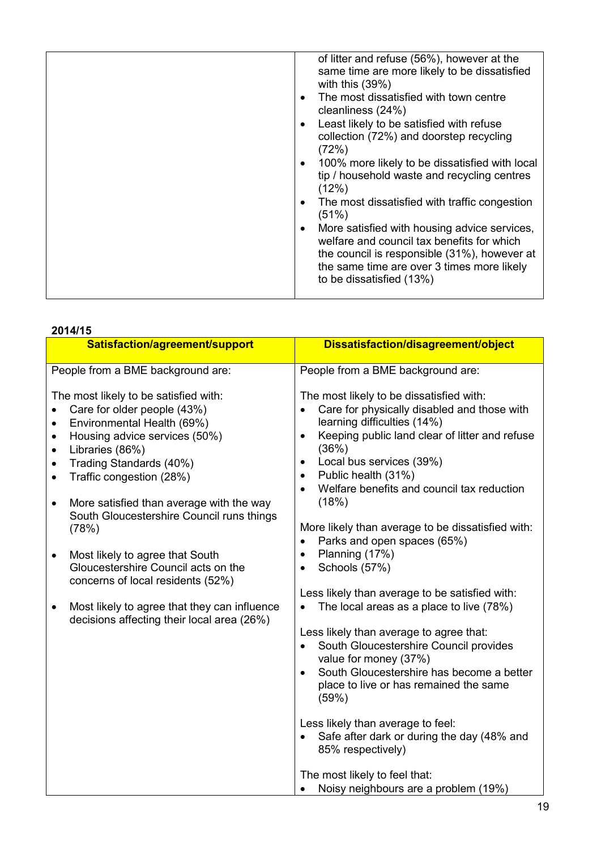| of litter and refuse (56%), however at the                                                                                                                                                                           |
|----------------------------------------------------------------------------------------------------------------------------------------------------------------------------------------------------------------------|
| same time are more likely to be dissatisfied<br>with this $(39%)$                                                                                                                                                    |
| The most dissatisfied with town centre<br>cleanliness (24%)                                                                                                                                                          |
| Least likely to be satisfied with refuse<br>collection (72%) and doorstep recycling<br>(72%)                                                                                                                         |
| 100% more likely to be dissatisfied with local<br>tip / household waste and recycling centres<br>(12%)                                                                                                               |
| The most dissatisfied with traffic congestion<br>٠<br>(51%)                                                                                                                                                          |
| More satisfied with housing advice services,<br>welfare and council tax benefits for which<br>the council is responsible (31%), however at<br>the same time are over 3 times more likely<br>to be dissatisfied (13%) |
|                                                                                                                                                                                                                      |

#### 2014/15

| 20 I TI I J                                                                                                                                                                                                                                                                                                                                                                  |                                                                                                                                                                                                                                                                                                                                                              |
|------------------------------------------------------------------------------------------------------------------------------------------------------------------------------------------------------------------------------------------------------------------------------------------------------------------------------------------------------------------------------|--------------------------------------------------------------------------------------------------------------------------------------------------------------------------------------------------------------------------------------------------------------------------------------------------------------------------------------------------------------|
| Satisfaction/agreement/support                                                                                                                                                                                                                                                                                                                                               | Dissatisfaction/disagreement/object                                                                                                                                                                                                                                                                                                                          |
| People from a BME background are:                                                                                                                                                                                                                                                                                                                                            | People from a BME background are:                                                                                                                                                                                                                                                                                                                            |
| The most likely to be satisfied with:<br>Care for older people (43%)<br>Environmental Health (69%)<br>$\bullet$<br>Housing advice services (50%)<br>$\bullet$<br>Libraries (86%)<br>$\bullet$<br>Trading Standards (40%)<br>$\bullet$<br>Traffic congestion (28%)<br>$\bullet$<br>More satisfied than average with the way<br>٠<br>South Gloucestershire Council runs things | The most likely to be dissatisfied with:<br>Care for physically disabled and those with<br>$\bullet$<br>learning difficulties (14%)<br>Keeping public land clear of litter and refuse<br>$\bullet$<br>(36%)<br>Local bus services (39%)<br>$\bullet$<br>Public health (31%)<br>$\bullet$<br>Welfare benefits and council tax reduction<br>$\bullet$<br>(18%) |
| (78%)<br>Most likely to agree that South<br>$\bullet$<br>Gloucestershire Council acts on the<br>concerns of local residents (52%)                                                                                                                                                                                                                                            | More likely than average to be dissatisfied with:<br>Parks and open spaces (65%)<br>$\bullet$<br>Planning (17%)<br>$\bullet$<br>Schools (57%)<br>$\bullet$                                                                                                                                                                                                   |
| Most likely to agree that they can influence<br>$\bullet$<br>decisions affecting their local area (26%)                                                                                                                                                                                                                                                                      | Less likely than average to be satisfied with:<br>The local areas as a place to live (78%)<br>Less likely than average to agree that:<br>South Gloucestershire Council provides<br>value for money (37%)<br>South Gloucestershire has become a better<br>place to live or has remained the same<br>(59%)                                                     |
|                                                                                                                                                                                                                                                                                                                                                                              | Less likely than average to feel:<br>Safe after dark or during the day (48% and<br>85% respectively)<br>The most likely to feel that:<br>Noisy neighbours are a problem (19%)<br>$\bullet$                                                                                                                                                                   |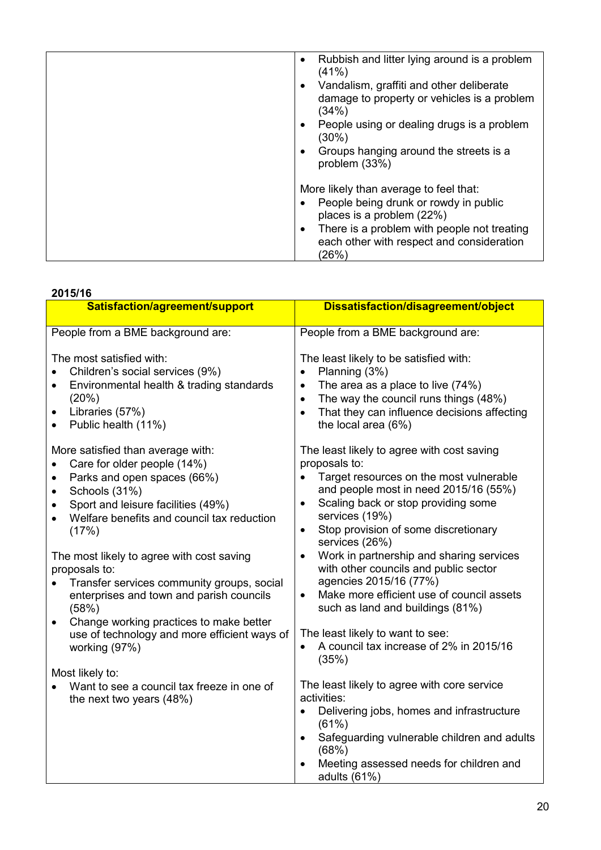| Rubbish and litter lying around is a problem<br>$\bullet$<br>(41%)<br>Vandalism, graffiti and other deliberate<br>$\bullet$<br>damage to property or vehicles is a problem<br>(34%)<br>People using or dealing drugs is a problem<br>$\bullet$<br>(30%)<br>Groups hanging around the streets is a<br>٠<br>problem (33%) |
|-------------------------------------------------------------------------------------------------------------------------------------------------------------------------------------------------------------------------------------------------------------------------------------------------------------------------|
| More likely than average to feel that:<br>People being drunk or rowdy in public<br>places is a problem (22%)<br>There is a problem with people not treating<br>$\bullet$<br>each other with respect and consideration<br>(26%)                                                                                          |

| 2015/16                                                                                                                                                                                                                                                                                                                                                                                                                                                                                                                                |                                                                                                                                                                                                                                                                                                                                                                                                                                                                                                                                                                                                                |  |  |  |
|----------------------------------------------------------------------------------------------------------------------------------------------------------------------------------------------------------------------------------------------------------------------------------------------------------------------------------------------------------------------------------------------------------------------------------------------------------------------------------------------------------------------------------------|----------------------------------------------------------------------------------------------------------------------------------------------------------------------------------------------------------------------------------------------------------------------------------------------------------------------------------------------------------------------------------------------------------------------------------------------------------------------------------------------------------------------------------------------------------------------------------------------------------------|--|--|--|
| Satisfaction/agreement/support                                                                                                                                                                                                                                                                                                                                                                                                                                                                                                         | Dissatisfaction/disagreement/object                                                                                                                                                                                                                                                                                                                                                                                                                                                                                                                                                                            |  |  |  |
| People from a BME background are:                                                                                                                                                                                                                                                                                                                                                                                                                                                                                                      | People from a BME background are:                                                                                                                                                                                                                                                                                                                                                                                                                                                                                                                                                                              |  |  |  |
| The most satisfied with:<br>Children's social services (9%)<br>$\bullet$<br>Environmental health & trading standards<br>$\bullet$<br>(20%)<br>Libraries (57%)<br>$\bullet$<br>Public health (11%)<br>$\bullet$                                                                                                                                                                                                                                                                                                                         | The least likely to be satisfied with:<br>Planning (3%)<br>$\bullet$<br>The area as a place to live (74%)<br>$\bullet$<br>The way the council runs things (48%)<br>$\bullet$<br>That they can influence decisions affecting<br>$\bullet$<br>the local area (6%)                                                                                                                                                                                                                                                                                                                                                |  |  |  |
| More satisfied than average with:<br>Care for older people (14%)<br>Parks and open spaces (66%)<br>$\bullet$<br>Schools (31%)<br>$\bullet$<br>Sport and leisure facilities (49%)<br>٠<br>Welfare benefits and council tax reduction<br>(17%)<br>The most likely to agree with cost saving<br>proposals to:<br>Transfer services community groups, social<br>enterprises and town and parish councils<br>(58%)<br>Change working practices to make better<br>$\bullet$<br>use of technology and more efficient ways of<br>working (97%) | The least likely to agree with cost saving<br>proposals to:<br>Target resources on the most vulnerable<br>and people most in need 2015/16 (55%)<br>Scaling back or stop providing some<br>$\bullet$<br>services (19%)<br>Stop provision of some discretionary<br>$\bullet$<br>services (26%)<br>Work in partnership and sharing services<br>$\bullet$<br>with other councils and public sector<br>agencies 2015/16 (77%)<br>Make more efficient use of council assets<br>$\bullet$<br>such as land and buildings (81%)<br>The least likely to want to see:<br>A council tax increase of 2% in 2015/16<br>(35%) |  |  |  |
| Most likely to:<br>Want to see a council tax freeze in one of<br>the next two years (48%)                                                                                                                                                                                                                                                                                                                                                                                                                                              | The least likely to agree with core service<br>activities:<br>Delivering jobs, homes and infrastructure<br>$\bullet$<br>(61%)<br>Safeguarding vulnerable children and adults<br>$\bullet$<br>(68%)<br>Meeting assessed needs for children and<br>adults $(61%)$                                                                                                                                                                                                                                                                                                                                                |  |  |  |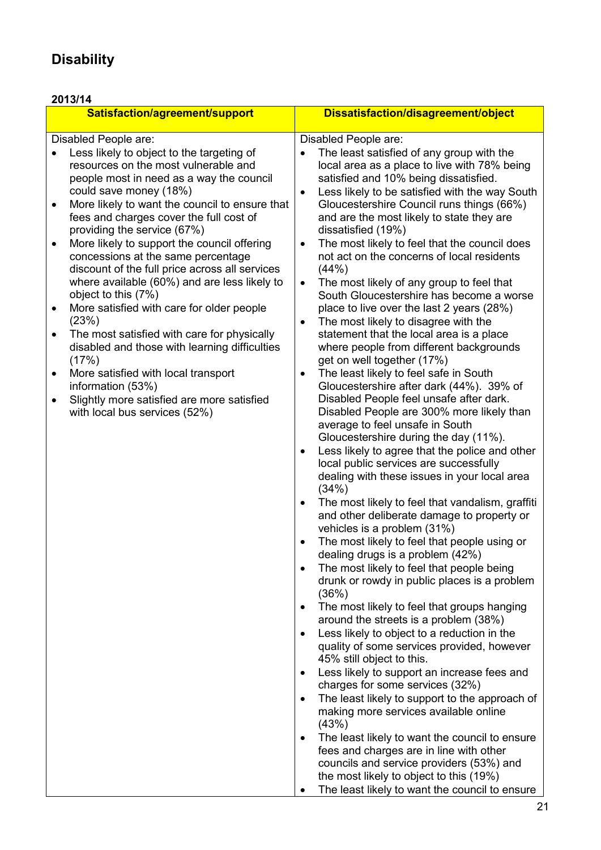# **Disability**

| 2013/14                                                                                                                                                                                                                                                                                                                                                                                                                                                                                                                                                                                                                                                                                                                                                                                                                                                                                                   |                                                                                                                                                                                                                                                                                                                                                                                                                                                                                                                                                                                                                                                                                                                                                                                                                                                                                                                                                                                                                                                                                                                                                                                                                                                                                                                                                                                                                                                                                                                                                                                                                                                                                                                                                                                                                                                                                                                                                                                                                                                                                                                                                                                                                                                                                                                |  |  |  |  |
|-----------------------------------------------------------------------------------------------------------------------------------------------------------------------------------------------------------------------------------------------------------------------------------------------------------------------------------------------------------------------------------------------------------------------------------------------------------------------------------------------------------------------------------------------------------------------------------------------------------------------------------------------------------------------------------------------------------------------------------------------------------------------------------------------------------------------------------------------------------------------------------------------------------|----------------------------------------------------------------------------------------------------------------------------------------------------------------------------------------------------------------------------------------------------------------------------------------------------------------------------------------------------------------------------------------------------------------------------------------------------------------------------------------------------------------------------------------------------------------------------------------------------------------------------------------------------------------------------------------------------------------------------------------------------------------------------------------------------------------------------------------------------------------------------------------------------------------------------------------------------------------------------------------------------------------------------------------------------------------------------------------------------------------------------------------------------------------------------------------------------------------------------------------------------------------------------------------------------------------------------------------------------------------------------------------------------------------------------------------------------------------------------------------------------------------------------------------------------------------------------------------------------------------------------------------------------------------------------------------------------------------------------------------------------------------------------------------------------------------------------------------------------------------------------------------------------------------------------------------------------------------------------------------------------------------------------------------------------------------------------------------------------------------------------------------------------------------------------------------------------------------------------------------------------------------------------------------------------------------|--|--|--|--|
| Satisfaction/agreement/support                                                                                                                                                                                                                                                                                                                                                                                                                                                                                                                                                                                                                                                                                                                                                                                                                                                                            | Dissatisfaction/disagreement/object                                                                                                                                                                                                                                                                                                                                                                                                                                                                                                                                                                                                                                                                                                                                                                                                                                                                                                                                                                                                                                                                                                                                                                                                                                                                                                                                                                                                                                                                                                                                                                                                                                                                                                                                                                                                                                                                                                                                                                                                                                                                                                                                                                                                                                                                            |  |  |  |  |
| Disabled People are:<br>Less likely to object to the targeting of<br>resources on the most vulnerable and<br>people most in need as a way the council<br>could save money (18%)<br>More likely to want the council to ensure that<br>$\bullet$<br>fees and charges cover the full cost of<br>providing the service (67%)<br>More likely to support the council offering<br>$\bullet$<br>concessions at the same percentage<br>discount of the full price across all services<br>where available (60%) and are less likely to<br>object to this (7%)<br>More satisfied with care for older people<br>٠<br>(23%)<br>The most satisfied with care for physically<br>$\bullet$<br>disabled and those with learning difficulties<br>(17%)<br>More satisfied with local transport<br>$\bullet$<br>information (53%)<br>Slightly more satisfied are more satisfied<br>$\bullet$<br>with local bus services (52%) | Disabled People are:<br>The least satisfied of any group with the<br>local area as a place to live with 78% being<br>satisfied and 10% being dissatisfied.<br>Less likely to be satisfied with the way South<br>$\bullet$<br>Gloucestershire Council runs things (66%)<br>and are the most likely to state they are<br>dissatisfied (19%)<br>The most likely to feel that the council does<br>$\bullet$<br>not act on the concerns of local residents<br>(44% )<br>The most likely of any group to feel that<br>$\bullet$<br>South Gloucestershire has become a worse<br>place to live over the last 2 years (28%)<br>The most likely to disagree with the<br>$\bullet$<br>statement that the local area is a place<br>where people from different backgrounds<br>get on well together (17%)<br>The least likely to feel safe in South<br>$\bullet$<br>Gloucestershire after dark (44%). 39% of<br>Disabled People feel unsafe after dark.<br>Disabled People are 300% more likely than<br>average to feel unsafe in South<br>Gloucestershire during the day (11%).<br>Less likely to agree that the police and other<br>$\bullet$<br>local public services are successfully<br>dealing with these issues in your local area<br>(34%)<br>The most likely to feel that vandalism, graffiti<br>$\bullet$<br>and other deliberate damage to property or<br>vehicles is a problem (31%)<br>The most likely to feel that people using or<br>٠<br>dealing drugs is a problem (42%)<br>The most likely to feel that people being<br>$\bullet$<br>drunk or rowdy in public places is a problem<br>(36%)<br>The most likely to feel that groups hanging<br>$\bullet$<br>around the streets is a problem (38%)<br>Less likely to object to a reduction in the<br>$\bullet$<br>quality of some services provided, however<br>45% still object to this.<br>Less likely to support an increase fees and<br>$\bullet$<br>charges for some services (32%)<br>The least likely to support to the approach of<br>$\bullet$<br>making more services available online<br>(43%)<br>The least likely to want the council to ensure<br>$\bullet$<br>fees and charges are in line with other<br>councils and service providers (53%) and<br>the most likely to object to this (19%)<br>The least likely to want the council to ensure |  |  |  |  |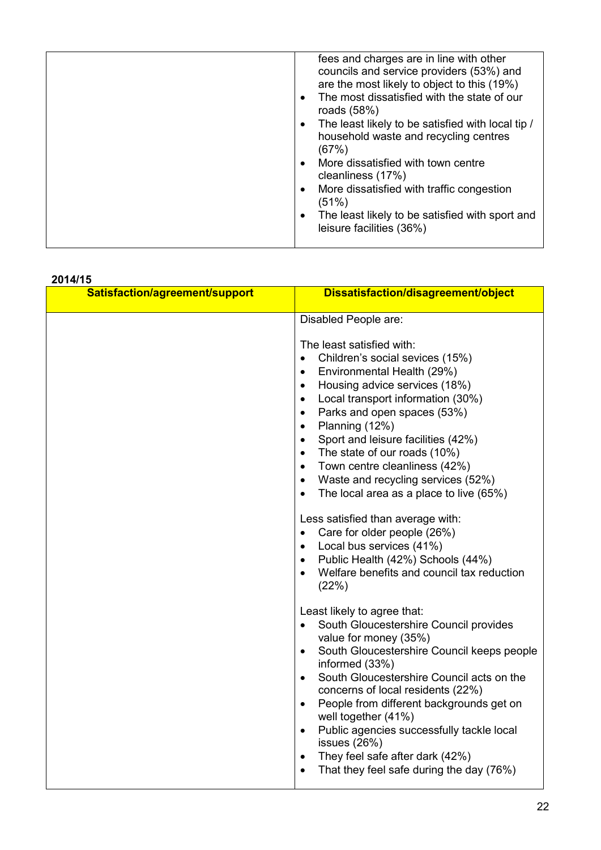| fees and charges are in line with other<br>councils and service providers (53%) and<br>are the most likely to object to this (19%)<br>The most dissatisfied with the state of our<br>$\bullet$<br>roads $(58%)$<br>The least likely to be satisfied with local tip /<br>household waste and recycling centres<br>(67%)<br>More dissatisfied with town centre |
|--------------------------------------------------------------------------------------------------------------------------------------------------------------------------------------------------------------------------------------------------------------------------------------------------------------------------------------------------------------|
|                                                                                                                                                                                                                                                                                                                                                              |
|                                                                                                                                                                                                                                                                                                                                                              |
| cleanliness (17%)                                                                                                                                                                                                                                                                                                                                            |
| More dissatisfied with traffic congestion<br>(51%)                                                                                                                                                                                                                                                                                                           |
| The least likely to be satisfied with sport and<br>٠<br>leisure facilities (36%)                                                                                                                                                                                                                                                                             |

#### 2014/15

| Satisfaction/agreement/support | Dissatisfaction/disagreement/object                                                                                                                                                                                                                                                                                                                                                                                                                                                                                                                                                                                                                                                                                                                                                       |
|--------------------------------|-------------------------------------------------------------------------------------------------------------------------------------------------------------------------------------------------------------------------------------------------------------------------------------------------------------------------------------------------------------------------------------------------------------------------------------------------------------------------------------------------------------------------------------------------------------------------------------------------------------------------------------------------------------------------------------------------------------------------------------------------------------------------------------------|
|                                | Disabled People are:<br>The least satisfied with:<br>Children's social sevices (15%)<br>Environmental Health (29%)<br>$\bullet$<br>Housing advice services (18%)<br>$\bullet$<br>Local transport information (30%)<br>$\bullet$<br>Parks and open spaces (53%)<br>$\bullet$<br>Planning (12%)<br>$\bullet$<br>Sport and leisure facilities (42%)<br>$\bullet$<br>The state of our roads (10%)<br>$\bullet$<br>Town centre cleanliness (42%)<br>$\bullet$<br>Waste and recycling services (52%)<br>$\bullet$<br>The local area as a place to live (65%)<br>$\bullet$<br>Less satisfied than average with:<br>Care for older people (26%)<br>Local bus services (41%)<br>$\bullet$<br>Public Health (42%) Schools (44%)<br>$\bullet$<br>Welfare benefits and council tax reduction<br>(22%) |
|                                | Least likely to agree that:<br>South Gloucestershire Council provides<br>$\bullet$<br>value for money (35%)<br>South Gloucestershire Council keeps people<br>$\bullet$<br>informed (33%)<br>South Gloucestershire Council acts on the<br>$\bullet$<br>concerns of local residents (22%)<br>People from different backgrounds get on<br>$\bullet$<br>well together (41%)<br>Public agencies successfully tackle local<br>$\bullet$<br>issues $(26%)$<br>They feel safe after dark (42%)<br>$\bullet$<br>That they feel safe during the day (76%)<br>$\bullet$                                                                                                                                                                                                                              |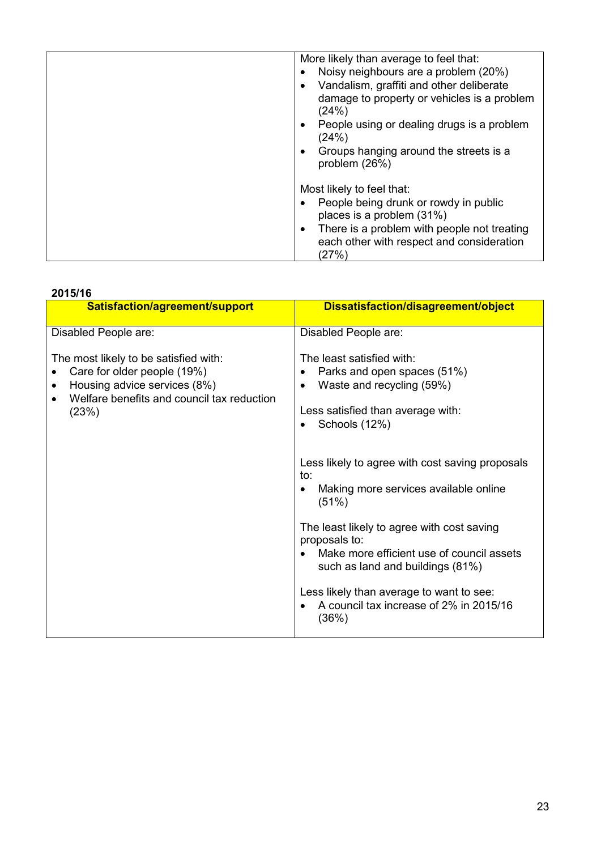| More likely than average to feel that:                                                                |
|-------------------------------------------------------------------------------------------------------|
| Noisy neighbours are a problem (20%)                                                                  |
| Vandalism, graffiti and other deliberate                                                              |
| damage to property or vehicles is a problem<br>(24%)                                                  |
| People using or dealing drugs is a problem<br>(24%)                                                   |
| Groups hanging around the streets is a<br>problem (26%)                                               |
| Most likely to feel that:                                                                             |
|                                                                                                       |
| People being drunk or rowdy in public<br>places is a problem (31%)                                    |
| There is a problem with people not treating<br>$\bullet$<br>each other with respect and consideration |
| (27%)                                                                                                 |

| 2015/16                                                                                                                                                     |                                                                                                                                                                                                                                                                                                                                                                                                                                                                                                                               |  |  |  |
|-------------------------------------------------------------------------------------------------------------------------------------------------------------|-------------------------------------------------------------------------------------------------------------------------------------------------------------------------------------------------------------------------------------------------------------------------------------------------------------------------------------------------------------------------------------------------------------------------------------------------------------------------------------------------------------------------------|--|--|--|
| Satisfaction/agreement/support                                                                                                                              | Dissatisfaction/disagreement/object                                                                                                                                                                                                                                                                                                                                                                                                                                                                                           |  |  |  |
| Disabled People are:                                                                                                                                        | Disabled People are:                                                                                                                                                                                                                                                                                                                                                                                                                                                                                                          |  |  |  |
| The most likely to be satisfied with:<br>Care for older people (19%)<br>Housing advice services (8%)<br>Welfare benefits and council tax reduction<br>(23%) | The least satisfied with:<br>Parks and open spaces (51%)<br>٠<br>Waste and recycling (59%)<br>$\bullet$<br>Less satisfied than average with:<br>Schools (12%)<br>Less likely to agree with cost saving proposals<br>to:<br>Making more services available online<br>$\bullet$<br>(51%)<br>The least likely to agree with cost saving<br>proposals to:<br>Make more efficient use of council assets<br>such as land and buildings (81%)<br>Less likely than average to want to see:<br>A council tax increase of 2% in 2015/16 |  |  |  |
|                                                                                                                                                             | (36%)                                                                                                                                                                                                                                                                                                                                                                                                                                                                                                                         |  |  |  |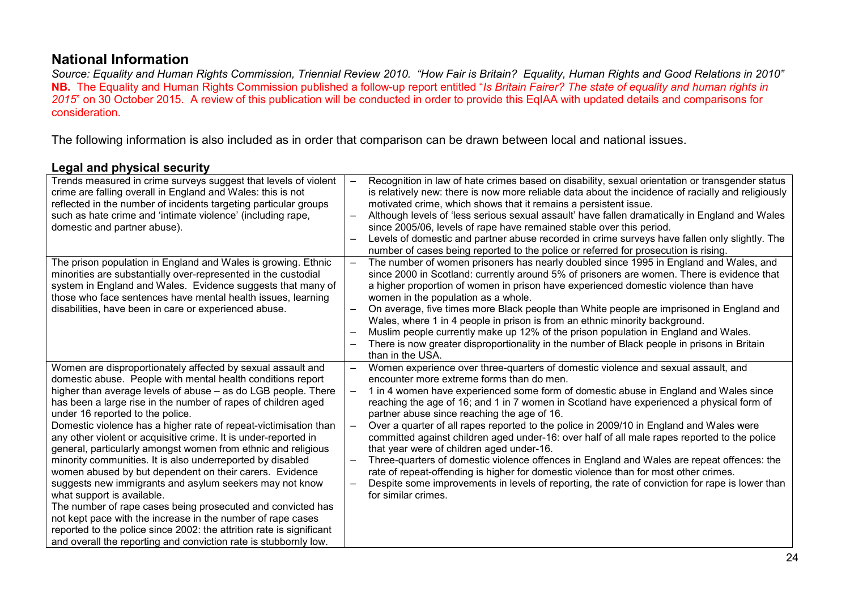# National Information

*Source: Equality and Human Rights Commission, Triennial Review 2010. "How Fair is Britain? Equality, Human Rights and Good Relations in 2010"* NB. The Equality and Human Rights Commission published a follow-up report entitled "*Is Britain Fairer? The state of equality and human rights in 2015*" on 30 October 2015. A review of this publication will be conducted in order to provide this EqIAA with updated details and comparisons for consideration.

The following information is also included as in order that comparison can be drawn between local and national issues.

### Legal and physical security

| Trends measured in crime surveys suggest that levels of violent<br>crime are falling overall in England and Wales: this is not<br>reflected in the number of incidents targeting particular groups<br>such as hate crime and 'intimate violence' (including rape,<br>domestic and partner abuse).                                                                                                                                                                                                                                                                                                                                                                                                                                                                                                                                                                                                                                                                                                    | $\overline{\phantom{0}}$             | Recognition in law of hate crimes based on disability, sexual orientation or transgender status<br>is relatively new: there is now more reliable data about the incidence of racially and religiously<br>motivated crime, which shows that it remains a persistent issue.<br>Although levels of 'less serious sexual assault' have fallen dramatically in England and Wales<br>since 2005/06, levels of rape have remained stable over this period.                                                                                                                                                                                                                                                                                                                                                                                                                                                                       |
|------------------------------------------------------------------------------------------------------------------------------------------------------------------------------------------------------------------------------------------------------------------------------------------------------------------------------------------------------------------------------------------------------------------------------------------------------------------------------------------------------------------------------------------------------------------------------------------------------------------------------------------------------------------------------------------------------------------------------------------------------------------------------------------------------------------------------------------------------------------------------------------------------------------------------------------------------------------------------------------------------|--------------------------------------|---------------------------------------------------------------------------------------------------------------------------------------------------------------------------------------------------------------------------------------------------------------------------------------------------------------------------------------------------------------------------------------------------------------------------------------------------------------------------------------------------------------------------------------------------------------------------------------------------------------------------------------------------------------------------------------------------------------------------------------------------------------------------------------------------------------------------------------------------------------------------------------------------------------------------|
|                                                                                                                                                                                                                                                                                                                                                                                                                                                                                                                                                                                                                                                                                                                                                                                                                                                                                                                                                                                                      | $\qquad \qquad$                      | Levels of domestic and partner abuse recorded in crime surveys have fallen only slightly. The<br>number of cases being reported to the police or referred for prosecution is rising.                                                                                                                                                                                                                                                                                                                                                                                                                                                                                                                                                                                                                                                                                                                                      |
| The prison population in England and Wales is growing. Ethnic<br>minorities are substantially over-represented in the custodial<br>system in England and Wales. Evidence suggests that many of<br>those who face sentences have mental health issues, learning<br>disabilities, have been in care or experienced abuse.                                                                                                                                                                                                                                                                                                                                                                                                                                                                                                                                                                                                                                                                              | $\overline{\phantom{0}}$             | The number of women prisoners has nearly doubled since 1995 in England and Wales, and<br>since 2000 in Scotland: currently around 5% of prisoners are women. There is evidence that<br>a higher proportion of women in prison have experienced domestic violence than have<br>women in the population as a whole.<br>On average, five times more Black people than White people are imprisoned in England and<br>Wales, where 1 in 4 people in prison is from an ethnic minority background.<br>Muslim people currently make up 12% of the prison population in England and Wales.<br>There is now greater disproportionality in the number of Black people in prisons in Britain<br>than in the USA.                                                                                                                                                                                                                     |
| Women are disproportionately affected by sexual assault and<br>domestic abuse. People with mental health conditions report<br>higher than average levels of abuse - as do LGB people. There<br>has been a large rise in the number of rapes of children aged<br>under 16 reported to the police.<br>Domestic violence has a higher rate of repeat-victimisation than<br>any other violent or acquisitive crime. It is under-reported in<br>general, particularly amongst women from ethnic and religious<br>minority communities. It is also underreported by disabled<br>women abused by but dependent on their carers. Evidence<br>suggests new immigrants and asylum seekers may not know<br>what support is available.<br>The number of rape cases being prosecuted and convicted has<br>not kept pace with the increase in the number of rape cases<br>reported to the police since 2002: the attrition rate is significant<br>and overall the reporting and conviction rate is stubbornly low. | $\qquad \qquad -$<br>$\qquad \qquad$ | Women experience over three-quarters of domestic violence and sexual assault, and<br>encounter more extreme forms than do men.<br>1 in 4 women have experienced some form of domestic abuse in England and Wales since<br>reaching the age of 16; and 1 in 7 women in Scotland have experienced a physical form of<br>partner abuse since reaching the age of 16.<br>Over a quarter of all rapes reported to the police in 2009/10 in England and Wales were<br>committed against children aged under-16: over half of all male rapes reported to the police<br>that year were of children aged under-16.<br>Three-quarters of domestic violence offences in England and Wales are repeat offences: the<br>rate of repeat-offending is higher for domestic violence than for most other crimes.<br>Despite some improvements in levels of reporting, the rate of conviction for rape is lower than<br>for similar crimes. |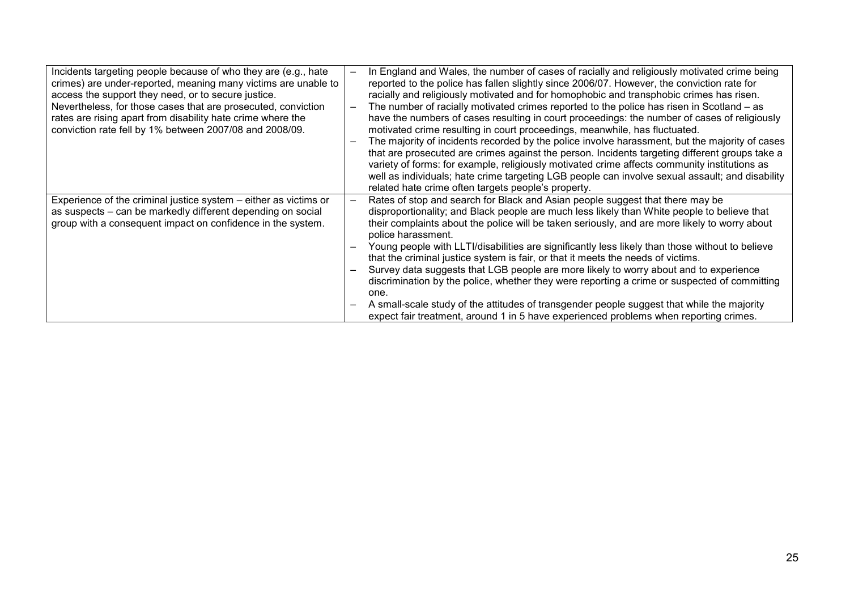| Incidents targeting people because of who they are (e.g., hate<br>crimes) are under-reported, meaning many victims are unable to<br>access the support they need, or to secure justice.<br>Nevertheless, for those cases that are prosecuted, conviction<br>rates are rising apart from disability hate crime where the<br>conviction rate fell by 1% between 2007/08 and 2008/09. | In England and Wales, the number of cases of racially and religiously motivated crime being<br>reported to the police has fallen slightly since 2006/07. However, the conviction rate for<br>racially and religiously motivated and for homophobic and transphobic crimes has risen.<br>The number of racially motivated crimes reported to the police has risen in Scotland – as<br>have the numbers of cases resulting in court proceedings: the number of cases of religiously<br>motivated crime resulting in court proceedings, meanwhile, has fluctuated.<br>The majority of incidents recorded by the police involve harassment, but the majority of cases<br>that are prosecuted are crimes against the person. Incidents targeting different groups take a<br>variety of forms: for example, religiously motivated crime affects community institutions as<br>well as individuals; hate crime targeting LGB people can involve sexual assault; and disability<br>related hate crime often targets people's property. |
|------------------------------------------------------------------------------------------------------------------------------------------------------------------------------------------------------------------------------------------------------------------------------------------------------------------------------------------------------------------------------------|-------------------------------------------------------------------------------------------------------------------------------------------------------------------------------------------------------------------------------------------------------------------------------------------------------------------------------------------------------------------------------------------------------------------------------------------------------------------------------------------------------------------------------------------------------------------------------------------------------------------------------------------------------------------------------------------------------------------------------------------------------------------------------------------------------------------------------------------------------------------------------------------------------------------------------------------------------------------------------------------------------------------------------|
| Experience of the criminal justice system $-$ either as victims or<br>as suspects – can be markedly different depending on social<br>group with a consequent impact on confidence in the system.                                                                                                                                                                                   | Rates of stop and search for Black and Asian people suggest that there may be<br>disproportionality; and Black people are much less likely than White people to believe that<br>their complaints about the police will be taken seriously, and are more likely to worry about<br>police harassment.<br>Young people with LLTI/disabilities are significantly less likely than those without to believe<br>that the criminal justice system is fair, or that it meets the needs of victims.<br>Survey data suggests that LGB people are more likely to worry about and to experience<br>discrimination by the police, whether they were reporting a crime or suspected of committing<br>one.<br>A small-scale study of the attitudes of transgender people suggest that while the majority<br>expect fair treatment, around 1 in 5 have experienced problems when reporting crimes.                                                                                                                                            |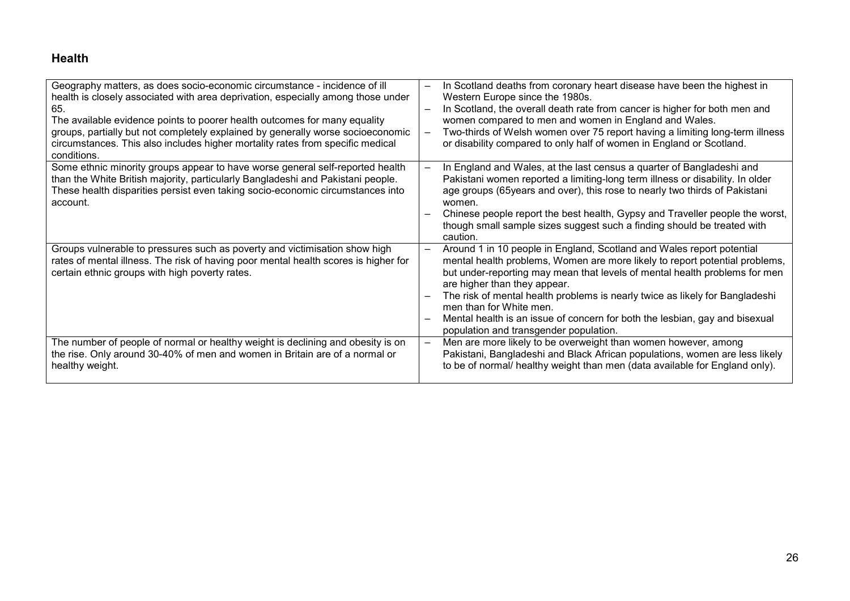# Health

| Geography matters, as does socio-economic circumstance - incidence of ill<br>health is closely associated with area deprivation, especially among those under<br>65.<br>The available evidence points to poorer health outcomes for many equality<br>groups, partially but not completely explained by generally worse socioeconomic<br>circumstances. This also includes higher mortality rates from specific medical<br>conditions. | In Scotland deaths from coronary heart disease have been the highest in<br>Western Europe since the 1980s.<br>In Scotland, the overall death rate from cancer is higher for both men and<br>women compared to men and women in England and Wales.<br>Two-thirds of Welsh women over 75 report having a limiting long-term illness<br>$\overline{\phantom{m}}$<br>or disability compared to only half of women in England or Scotland.                                                                  |
|---------------------------------------------------------------------------------------------------------------------------------------------------------------------------------------------------------------------------------------------------------------------------------------------------------------------------------------------------------------------------------------------------------------------------------------|--------------------------------------------------------------------------------------------------------------------------------------------------------------------------------------------------------------------------------------------------------------------------------------------------------------------------------------------------------------------------------------------------------------------------------------------------------------------------------------------------------|
| Some ethnic minority groups appear to have worse general self-reported health<br>than the White British majority, particularly Bangladeshi and Pakistani people.<br>These health disparities persist even taking socio-economic circumstances into<br>account.                                                                                                                                                                        | In England and Wales, at the last census a quarter of Bangladeshi and<br>$\overline{\phantom{0}}$<br>Pakistani women reported a limiting-long term illness or disability. In older<br>age groups (65years and over), this rose to nearly two thirds of Pakistani<br>women.<br>Chinese people report the best health, Gypsy and Traveller people the worst,<br>though small sample sizes suggest such a finding should be treated with<br>caution.                                                      |
| Groups vulnerable to pressures such as poverty and victimisation show high<br>rates of mental illness. The risk of having poor mental health scores is higher for<br>certain ethnic groups with high poverty rates.                                                                                                                                                                                                                   | Around 1 in 10 people in England, Scotland and Wales report potential<br>mental health problems, Women are more likely to report potential problems,<br>but under-reporting may mean that levels of mental health problems for men<br>are higher than they appear.<br>The risk of mental health problems is nearly twice as likely for Bangladeshi<br>men than for White men.<br>Mental health is an issue of concern for both the lesbian, gay and bisexual<br>population and transgender population. |
| The number of people of normal or healthy weight is declining and obesity is on<br>the rise. Only around 30-40% of men and women in Britain are of a normal or<br>healthy weight.                                                                                                                                                                                                                                                     | Men are more likely to be overweight than women however, among<br>$\overline{\phantom{m}}$<br>Pakistani, Bangladeshi and Black African populations, women are less likely<br>to be of normal/ healthy weight than men (data available for England only).                                                                                                                                                                                                                                               |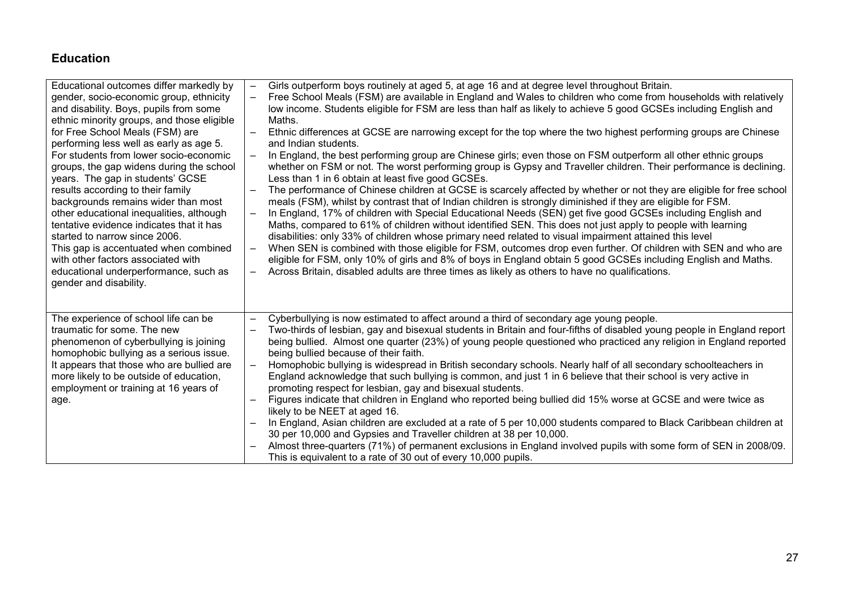# Education

| Educational outcomes differ markedly by<br>gender, socio-economic group, ethnicity<br>and disability. Boys, pupils from some<br>ethnic minority groups, and those eligible<br>for Free School Meals (FSM) are<br>performing less well as early as age 5.<br>For students from lower socio-economic<br>groups, the gap widens during the school<br>years. The gap in students' GCSE<br>results according to their family<br>backgrounds remains wider than most<br>other educational inequalities, although<br>tentative evidence indicates that it has<br>started to narrow since 2006.<br>This gap is accentuated when combined<br>with other factors associated with<br>educational underperformance, such as<br>gender and disability. | $\overline{\phantom{0}}$<br>$\qquad \qquad -$<br>$\frac{1}{2}$<br>$\qquad \qquad -$<br>$\overline{\phantom{0}}$<br>$\overline{\phantom{m}}$ | Girls outperform boys routinely at aged 5, at age 16 and at degree level throughout Britain.<br>Free School Meals (FSM) are available in England and Wales to children who come from households with relatively<br>low income. Students eligible for FSM are less than half as likely to achieve 5 good GCSEs including English and<br>Maths.<br>Ethnic differences at GCSE are narrowing except for the top where the two highest performing groups are Chinese<br>and Indian students.<br>In England, the best performing group are Chinese girls; even those on FSM outperform all other ethnic groups<br>whether on FSM or not. The worst performing group is Gypsy and Traveller children. Their performance is declining.<br>Less than 1 in 6 obtain at least five good GCSEs.<br>The performance of Chinese children at GCSE is scarcely affected by whether or not they are eligible for free school<br>meals (FSM), whilst by contrast that of Indian children is strongly diminished if they are eligible for FSM.<br>In England, 17% of children with Special Educational Needs (SEN) get five good GCSEs including English and<br>Maths, compared to 61% of children without identified SEN. This does not just apply to people with learning<br>disabilities: only 33% of children whose primary need related to visual impairment attained this level<br>When SEN is combined with those eligible for FSM, outcomes drop even further. Of children with SEN and who are<br>eligible for FSM, only 10% of girls and 8% of boys in England obtain 5 good GCSEs including English and Maths.<br>Across Britain, disabled adults are three times as likely as others to have no qualifications. |
|-------------------------------------------------------------------------------------------------------------------------------------------------------------------------------------------------------------------------------------------------------------------------------------------------------------------------------------------------------------------------------------------------------------------------------------------------------------------------------------------------------------------------------------------------------------------------------------------------------------------------------------------------------------------------------------------------------------------------------------------|---------------------------------------------------------------------------------------------------------------------------------------------|-----------------------------------------------------------------------------------------------------------------------------------------------------------------------------------------------------------------------------------------------------------------------------------------------------------------------------------------------------------------------------------------------------------------------------------------------------------------------------------------------------------------------------------------------------------------------------------------------------------------------------------------------------------------------------------------------------------------------------------------------------------------------------------------------------------------------------------------------------------------------------------------------------------------------------------------------------------------------------------------------------------------------------------------------------------------------------------------------------------------------------------------------------------------------------------------------------------------------------------------------------------------------------------------------------------------------------------------------------------------------------------------------------------------------------------------------------------------------------------------------------------------------------------------------------------------------------------------------------------------------------------------------------------------------------------------------------------|
| The experience of school life can be<br>traumatic for some. The new<br>phenomenon of cyberbullying is joining<br>homophobic bullying as a serious issue.<br>It appears that those who are bullied are<br>more likely to be outside of education,<br>employment or training at 16 years of<br>age.                                                                                                                                                                                                                                                                                                                                                                                                                                         | $\qquad \qquad -$<br>$\overline{\phantom{0}}$<br>$\frac{1}{2}$<br>$\overline{\phantom{0}}$<br>$\overline{\phantom{m}}$                      | Cyberbullying is now estimated to affect around a third of secondary age young people.<br>Two-thirds of lesbian, gay and bisexual students in Britain and four-fifths of disabled young people in England report<br>being bullied. Almost one quarter (23%) of young people questioned who practiced any religion in England reported<br>being bullied because of their faith.<br>Homophobic bullying is widespread in British secondary schools. Nearly half of all secondary schoolteachers in<br>England acknowledge that such bullying is common, and just 1 in 6 believe that their school is very active in<br>promoting respect for lesbian, gay and bisexual students.<br>Figures indicate that children in England who reported being bullied did 15% worse at GCSE and were twice as<br>likely to be NEET at aged 16.<br>In England, Asian children are excluded at a rate of 5 per 10,000 students compared to Black Caribbean children at<br>30 per 10,000 and Gypsies and Traveller children at 38 per 10,000.<br>Almost three-quarters (71%) of permanent exclusions in England involved pupils with some form of SEN in 2008/09.<br>This is equivalent to a rate of 30 out of every 10,000 pupils.                                                                                                                                                                                                                                                                                                                                                                                                                                                                                         |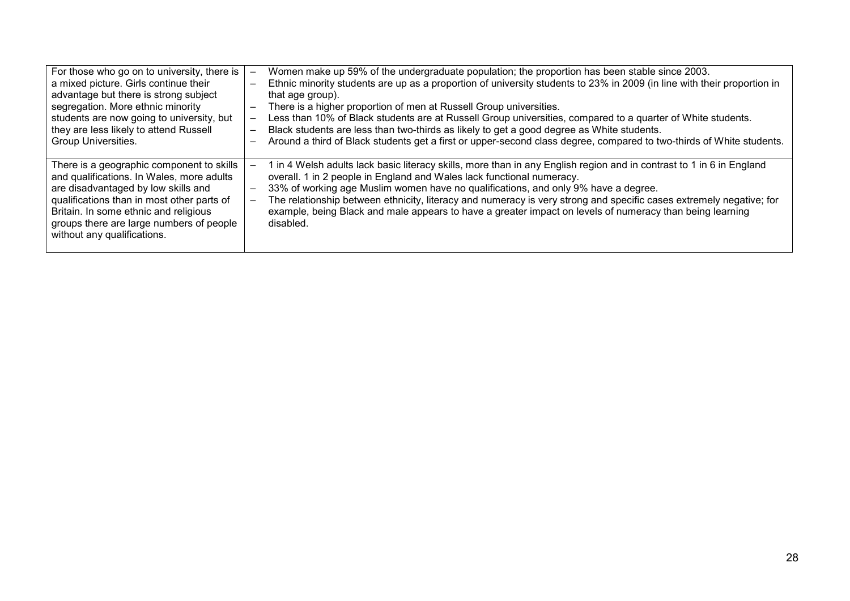| For those who go on to university, there is<br>a mixed picture. Girls continue their<br>advantage but there is strong subject<br>segregation. More ethnic minority<br>students are now going to university, but<br>they are less likely to attend Russell<br>Group Universities.                | $\overline{\phantom{m}}$<br>$\overline{\phantom{m}}$ | Women make up 59% of the undergraduate population; the proportion has been stable since 2003.<br>Ethnic minority students are up as a proportion of university students to 23% in 2009 (in line with their proportion in<br>that age group).<br>There is a higher proportion of men at Russell Group universities.<br>Less than 10% of Black students are at Russell Group universities, compared to a quarter of White students.<br>Black students are less than two-thirds as likely to get a good degree as White students.<br>Around a third of Black students get a first or upper-second class degree, compared to two-thirds of White students. |
|-------------------------------------------------------------------------------------------------------------------------------------------------------------------------------------------------------------------------------------------------------------------------------------------------|------------------------------------------------------|--------------------------------------------------------------------------------------------------------------------------------------------------------------------------------------------------------------------------------------------------------------------------------------------------------------------------------------------------------------------------------------------------------------------------------------------------------------------------------------------------------------------------------------------------------------------------------------------------------------------------------------------------------|
| There is a geographic component to skills<br>and qualifications. In Wales, more adults<br>are disadvantaged by low skills and<br>qualifications than in most other parts of<br>Britain. In some ethnic and religious<br>groups there are large numbers of people<br>without any qualifications. | $\overline{\phantom{0}}$                             | I in 4 Welsh adults lack basic literacy skills, more than in any English region and in contrast to 1 in 6 in England<br>overall. 1 in 2 people in England and Wales lack functional numeracy.<br>33% of working age Muslim women have no qualifications, and only 9% have a degree.<br>The relationship between ethnicity, literacy and numeracy is very strong and specific cases extremely negative; for<br>example, being Black and male appears to have a greater impact on levels of numeracy than being learning<br>disabled.                                                                                                                    |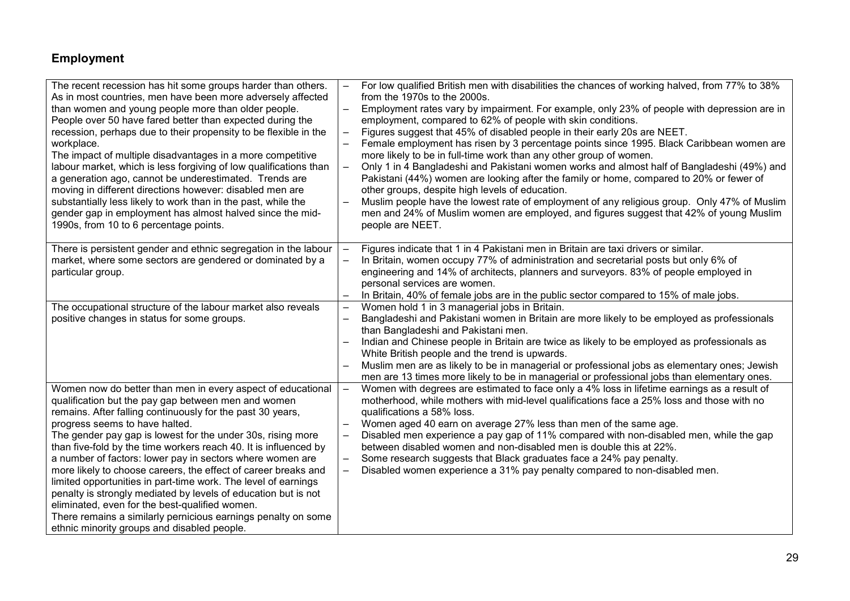# Employment

| The recent recession has hit some groups harder than others.<br>As in most countries, men have been more adversely affected<br>than women and young people more than older people.<br>People over 50 have fared better than expected during the<br>recession, perhaps due to their propensity to be flexible in the<br>workplace.<br>The impact of multiple disadvantages in a more competitive<br>labour market, which is less forgiving of low qualifications than<br>a generation ago, cannot be underestimated. Trends are<br>moving in different directions however: disabled men are<br>substantially less likely to work than in the past, while the<br>gender gap in employment has almost halved since the mid-<br>1990s, from 10 to 6 percentage points.                         | $\qquad \qquad -$<br>$\overline{\phantom{0}}$<br>$\overline{\phantom{0}}$ | For low qualified British men with disabilities the chances of working halved, from 77% to 38%<br>from the 1970s to the 2000s.<br>Employment rates vary by impairment. For example, only 23% of people with depression are in<br>employment, compared to 62% of people with skin conditions.<br>Figures suggest that 45% of disabled people in their early 20s are NEET.<br>Female employment has risen by 3 percentage points since 1995. Black Caribbean women are<br>more likely to be in full-time work than any other group of women.<br>Only 1 in 4 Bangladeshi and Pakistani women works and almost half of Bangladeshi (49%) and<br>Pakistani (44%) women are looking after the family or home, compared to 20% or fewer of<br>other groups, despite high levels of education.<br>Muslim people have the lowest rate of employment of any religious group. Only 47% of Muslim<br>men and 24% of Muslim women are employed, and figures suggest that 42% of young Muslim<br>people are NEET. |
|--------------------------------------------------------------------------------------------------------------------------------------------------------------------------------------------------------------------------------------------------------------------------------------------------------------------------------------------------------------------------------------------------------------------------------------------------------------------------------------------------------------------------------------------------------------------------------------------------------------------------------------------------------------------------------------------------------------------------------------------------------------------------------------------|---------------------------------------------------------------------------|-----------------------------------------------------------------------------------------------------------------------------------------------------------------------------------------------------------------------------------------------------------------------------------------------------------------------------------------------------------------------------------------------------------------------------------------------------------------------------------------------------------------------------------------------------------------------------------------------------------------------------------------------------------------------------------------------------------------------------------------------------------------------------------------------------------------------------------------------------------------------------------------------------------------------------------------------------------------------------------------------------|
| There is persistent gender and ethnic segregation in the labour<br>market, where some sectors are gendered or dominated by a<br>particular group.                                                                                                                                                                                                                                                                                                                                                                                                                                                                                                                                                                                                                                          | $\overline{\phantom{0}}$<br>$\qquad \qquad -$                             | Figures indicate that 1 in 4 Pakistani men in Britain are taxi drivers or similar.<br>In Britain, women occupy 77% of administration and secretarial posts but only 6% of<br>engineering and 14% of architects, planners and surveyors. 83% of people employed in<br>personal services are women.                                                                                                                                                                                                                                                                                                                                                                                                                                                                                                                                                                                                                                                                                                   |
| The occupational structure of the labour market also reveals<br>positive changes in status for some groups.                                                                                                                                                                                                                                                                                                                                                                                                                                                                                                                                                                                                                                                                                | $-$<br>$\overline{\phantom{0}}$                                           | In Britain, 40% of female jobs are in the public sector compared to 15% of male jobs.<br>Women hold 1 in 3 managerial jobs in Britain.<br>Bangladeshi and Pakistani women in Britain are more likely to be employed as professionals<br>than Bangladeshi and Pakistani men.<br>Indian and Chinese people in Britain are twice as likely to be employed as professionals as<br>White British people and the trend is upwards.<br>Muslim men are as likely to be in managerial or professional jobs as elementary ones; Jewish<br>men are 13 times more likely to be in managerial or professional jobs than elementary ones.                                                                                                                                                                                                                                                                                                                                                                         |
| Women now do better than men in every aspect of educational<br>qualification but the pay gap between men and women<br>remains. After falling continuously for the past 30 years,<br>progress seems to have halted.<br>The gender pay gap is lowest for the under 30s, rising more<br>than five-fold by the time workers reach 40. It is influenced by<br>a number of factors: lower pay in sectors where women are<br>more likely to choose careers, the effect of career breaks and<br>limited opportunities in part-time work. The level of earnings<br>penalty is strongly mediated by levels of education but is not<br>eliminated, even for the best-qualified women.<br>There remains a similarly pernicious earnings penalty on some<br>ethnic minority groups and disabled people. | $\overline{\phantom{0}}$<br>$\overline{\phantom{0}}$                      | Women with degrees are estimated to face only a 4% loss in lifetime earnings as a result of<br>motherhood, while mothers with mid-level qualifications face a 25% loss and those with no<br>qualifications a 58% loss.<br>Women aged 40 earn on average 27% less than men of the same age.<br>Disabled men experience a pay gap of 11% compared with non-disabled men, while the gap<br>between disabled women and non-disabled men is double this at 22%.<br>Some research suggests that Black graduates face a 24% pay penalty.<br>Disabled women experience a 31% pay penalty compared to non-disabled men.                                                                                                                                                                                                                                                                                                                                                                                      |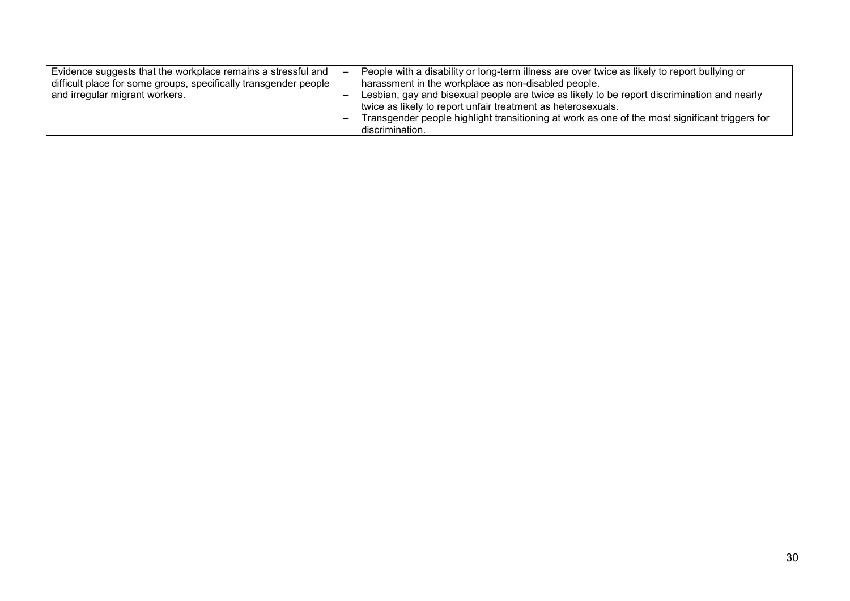| Evidence suggests that the workplace remains a stressful and     |  | People with a disability or long-term illness are over twice as likely to report bullying or   |
|------------------------------------------------------------------|--|------------------------------------------------------------------------------------------------|
| difficult place for some groups, specifically transgender people |  | harassment in the workplace as non-disabled people.                                            |
| and irregular migrant workers.                                   |  | Lesbian, gay and bisexual people are twice as likely to be report discrimination and nearly    |
|                                                                  |  | twice as likely to report unfair treatment as heterosexuals.                                   |
|                                                                  |  | Transgender people highlight transitioning at work as one of the most significant triggers for |
|                                                                  |  | discrimination.                                                                                |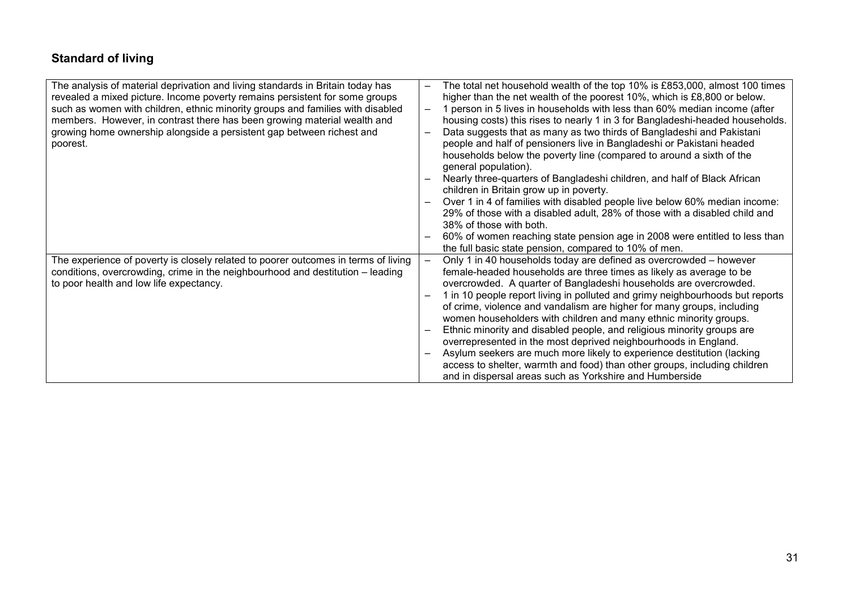# Standard of living

| The analysis of material deprivation and living standards in Britain today has<br>revealed a mixed picture. Income poverty remains persistent for some groups<br>such as women with children, ethnic minority groups and families with disabled<br>members. However, in contrast there has been growing material wealth and<br>growing home ownership alongside a persistent gap between richest and<br>poorest. |                          | The total net household wealth of the top 10% is £853,000, almost 100 times<br>higher than the net wealth of the poorest 10%, which is £8,800 or below.<br>1 person in 5 lives in households with less than 60% median income (after<br>housing costs) this rises to nearly 1 in 3 for Bangladeshi-headed households.<br>Data suggests that as many as two thirds of Bangladeshi and Pakistani<br>people and half of pensioners live in Bangladeshi or Pakistani headed<br>households below the poverty line (compared to around a sixth of the<br>general population).                                                                                                                                                                                                                                       |
|------------------------------------------------------------------------------------------------------------------------------------------------------------------------------------------------------------------------------------------------------------------------------------------------------------------------------------------------------------------------------------------------------------------|--------------------------|---------------------------------------------------------------------------------------------------------------------------------------------------------------------------------------------------------------------------------------------------------------------------------------------------------------------------------------------------------------------------------------------------------------------------------------------------------------------------------------------------------------------------------------------------------------------------------------------------------------------------------------------------------------------------------------------------------------------------------------------------------------------------------------------------------------|
|                                                                                                                                                                                                                                                                                                                                                                                                                  |                          | Nearly three-quarters of Bangladeshi children, and half of Black African<br>children in Britain grow up in poverty.<br>Over 1 in 4 of families with disabled people live below 60% median income:<br>29% of those with a disabled adult, 28% of those with a disabled child and<br>38% of those with both.                                                                                                                                                                                                                                                                                                                                                                                                                                                                                                    |
|                                                                                                                                                                                                                                                                                                                                                                                                                  |                          | 60% of women reaching state pension age in 2008 were entitled to less than<br>the full basic state pension, compared to 10% of men.                                                                                                                                                                                                                                                                                                                                                                                                                                                                                                                                                                                                                                                                           |
| The experience of poverty is closely related to poorer outcomes in terms of living<br>conditions, overcrowding, crime in the neighbourhood and destitution - leading<br>to poor health and low life expectancy.                                                                                                                                                                                                  | $\overline{\phantom{m}}$ | Only 1 in 40 households today are defined as overcrowded – however<br>female-headed households are three times as likely as average to be<br>overcrowded. A quarter of Bangladeshi households are overcrowded.<br>1 in 10 people report living in polluted and grimy neighbourhoods but reports<br>of crime, violence and vandalism are higher for many groups, including<br>women householders with children and many ethnic minority groups.<br>Ethnic minority and disabled people, and religious minority groups are<br>overrepresented in the most deprived neighbourhoods in England.<br>Asylum seekers are much more likely to experience destitution (lacking<br>access to shelter, warmth and food) than other groups, including children<br>and in dispersal areas such as Yorkshire and Humberside |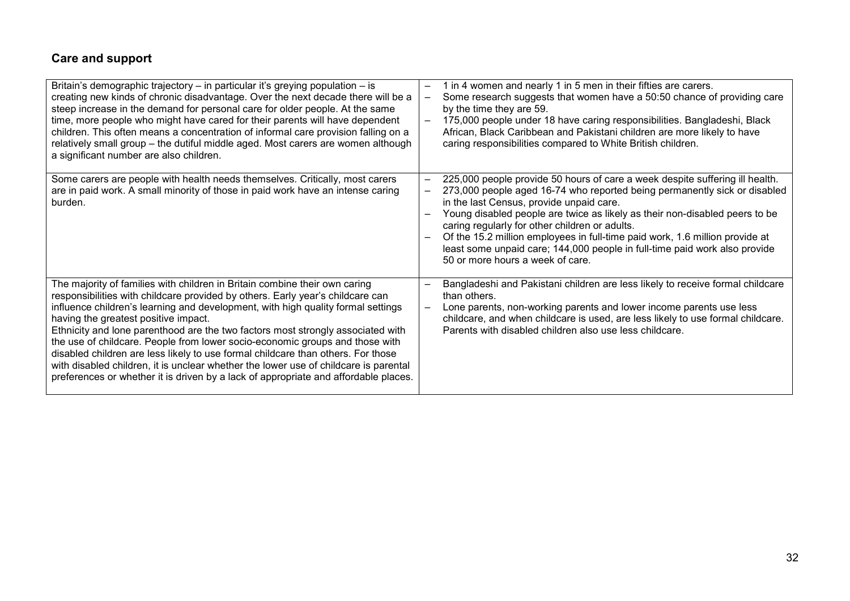# Care and support

| Britain's demographic trajectory - in particular it's greying population - is<br>creating new kinds of chronic disadvantage. Over the next decade there will be a<br>steep increase in the demand for personal care for older people. At the same<br>time, more people who might have cared for their parents will have dependent<br>children. This often means a concentration of informal care provision falling on a<br>relatively small group - the dutiful middle aged. Most carers are women although<br>a significant number are also children.                                                                                                                                                                         | 1 in 4 women and nearly 1 in 5 men in their fifties are carers.<br>—<br>Some research suggests that women have a 50:50 chance of providing care<br>—<br>by the time they are 59.<br>175,000 people under 18 have caring responsibilities. Bangladeshi, Black<br>$\overline{\phantom{m}}$<br>African, Black Caribbean and Pakistani children are more likely to have<br>caring responsibilities compared to White British children.                                                                                                       |  |
|--------------------------------------------------------------------------------------------------------------------------------------------------------------------------------------------------------------------------------------------------------------------------------------------------------------------------------------------------------------------------------------------------------------------------------------------------------------------------------------------------------------------------------------------------------------------------------------------------------------------------------------------------------------------------------------------------------------------------------|------------------------------------------------------------------------------------------------------------------------------------------------------------------------------------------------------------------------------------------------------------------------------------------------------------------------------------------------------------------------------------------------------------------------------------------------------------------------------------------------------------------------------------------|--|
| Some carers are people with health needs themselves. Critically, most carers<br>are in paid work. A small minority of those in paid work have an intense caring<br>burden.                                                                                                                                                                                                                                                                                                                                                                                                                                                                                                                                                     | 225,000 people provide 50 hours of care a week despite suffering ill health.<br>273,000 people aged 16-74 who reported being permanently sick or disabled<br>in the last Census, provide unpaid care.<br>Young disabled people are twice as likely as their non-disabled peers to be<br>caring regularly for other children or adults.<br>Of the 15.2 million employees in full-time paid work, 1.6 million provide at<br>least some unpaid care; 144,000 people in full-time paid work also provide<br>50 or more hours a week of care. |  |
| The majority of families with children in Britain combine their own caring<br>responsibilities with childcare provided by others. Early year's childcare can<br>influence children's learning and development, with high quality formal settings<br>having the greatest positive impact.<br>Ethnicity and lone parenthood are the two factors most strongly associated with<br>the use of childcare. People from lower socio-economic groups and those with<br>disabled children are less likely to use formal childcare than others. For those<br>with disabled children, it is unclear whether the lower use of childcare is parental<br>preferences or whether it is driven by a lack of appropriate and affordable places. | Bangladeshi and Pakistani children are less likely to receive formal childcare<br>than others.<br>Lone parents, non-working parents and lower income parents use less<br>childcare, and when childcare is used, are less likely to use formal childcare.<br>Parents with disabled children also use less childcare.                                                                                                                                                                                                                      |  |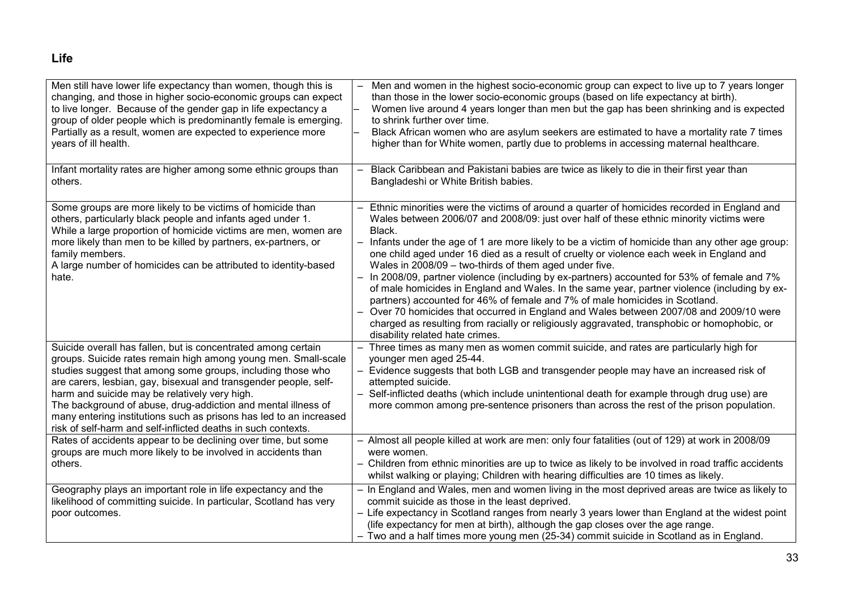# Life

| Men still have lower life expectancy than women, though this is<br>changing, and those in higher socio-economic groups can expect<br>to live longer. Because of the gender gap in life expectancy a<br>group of older people which is predominantly female is emerging.<br>Partially as a result, women are expected to experience more<br>years of ill health.                                                                                                                                                             | Men and women in the highest socio-economic group can expect to live up to 7 years longer<br>than those in the lower socio-economic groups (based on life expectancy at birth).<br>Women live around 4 years longer than men but the gap has been shrinking and is expected<br>to shrink further over time.<br>Black African women who are asylum seekers are estimated to have a mortality rate 7 times<br>higher than for White women, partly due to problems in accessing maternal healthcare.                                                                                                                                                                                                                                                                                                                                                                                                                                                                 |
|-----------------------------------------------------------------------------------------------------------------------------------------------------------------------------------------------------------------------------------------------------------------------------------------------------------------------------------------------------------------------------------------------------------------------------------------------------------------------------------------------------------------------------|-------------------------------------------------------------------------------------------------------------------------------------------------------------------------------------------------------------------------------------------------------------------------------------------------------------------------------------------------------------------------------------------------------------------------------------------------------------------------------------------------------------------------------------------------------------------------------------------------------------------------------------------------------------------------------------------------------------------------------------------------------------------------------------------------------------------------------------------------------------------------------------------------------------------------------------------------------------------|
| Infant mortality rates are higher among some ethnic groups than<br>others.                                                                                                                                                                                                                                                                                                                                                                                                                                                  | Black Caribbean and Pakistani babies are twice as likely to die in their first year than<br>Bangladeshi or White British babies.                                                                                                                                                                                                                                                                                                                                                                                                                                                                                                                                                                                                                                                                                                                                                                                                                                  |
| Some groups are more likely to be victims of homicide than<br>others, particularly black people and infants aged under 1.<br>While a large proportion of homicide victims are men, women are<br>more likely than men to be killed by partners, ex-partners, or<br>family members.<br>A large number of homicides can be attributed to identity-based<br>hate.                                                                                                                                                               | Ethnic minorities were the victims of around a quarter of homicides recorded in England and<br>Wales between 2006/07 and 2008/09: just over half of these ethnic minority victims were<br>Black.<br>Infants under the age of 1 are more likely to be a victim of homicide than any other age group:<br>one child aged under 16 died as a result of cruelty or violence each week in England and<br>Wales in 2008/09 - two-thirds of them aged under five.<br>In 2008/09, partner violence (including by ex-partners) accounted for 53% of female and 7%<br>of male homicides in England and Wales. In the same year, partner violence (including by ex-<br>partners) accounted for 46% of female and 7% of male homicides in Scotland.<br>Over 70 homicides that occurred in England and Wales between 2007/08 and 2009/10 were<br>charged as resulting from racially or religiously aggravated, transphobic or homophobic, or<br>disability related hate crimes. |
| Suicide overall has fallen, but is concentrated among certain<br>groups. Suicide rates remain high among young men. Small-scale<br>studies suggest that among some groups, including those who<br>are carers, lesbian, gay, bisexual and transgender people, self-<br>harm and suicide may be relatively very high.<br>The background of abuse, drug-addiction and mental illness of<br>many entering institutions such as prisons has led to an increased<br>risk of self-harm and self-inflicted deaths in such contexts. | Three times as many men as women commit suicide, and rates are particularly high for<br>$\overline{\phantom{0}}$<br>younger men aged 25-44.<br>- Evidence suggests that both LGB and transgender people may have an increased risk of<br>attempted suicide.<br>Self-inflicted deaths (which include unintentional death for example through drug use) are<br>more common among pre-sentence prisoners than across the rest of the prison population.                                                                                                                                                                                                                                                                                                                                                                                                                                                                                                              |
| Rates of accidents appear to be declining over time, but some<br>groups are much more likely to be involved in accidents than<br>others.                                                                                                                                                                                                                                                                                                                                                                                    | - Almost all people killed at work are men: only four fatalities (out of 129) at work in 2008/09<br>were women.<br>- Children from ethnic minorities are up to twice as likely to be involved in road traffic accidents<br>whilst walking or playing; Children with hearing difficulties are 10 times as likely.                                                                                                                                                                                                                                                                                                                                                                                                                                                                                                                                                                                                                                                  |
| Geography plays an important role in life expectancy and the<br>likelihood of committing suicide. In particular, Scotland has very<br>poor outcomes.                                                                                                                                                                                                                                                                                                                                                                        | - In England and Wales, men and women living in the most deprived areas are twice as likely to<br>commit suicide as those in the least deprived.<br>- Life expectancy in Scotland ranges from nearly 3 years lower than England at the widest point<br>(life expectancy for men at birth), although the gap closes over the age range.<br>- Two and a half times more young men (25-34) commit suicide in Scotland as in England.                                                                                                                                                                                                                                                                                                                                                                                                                                                                                                                                 |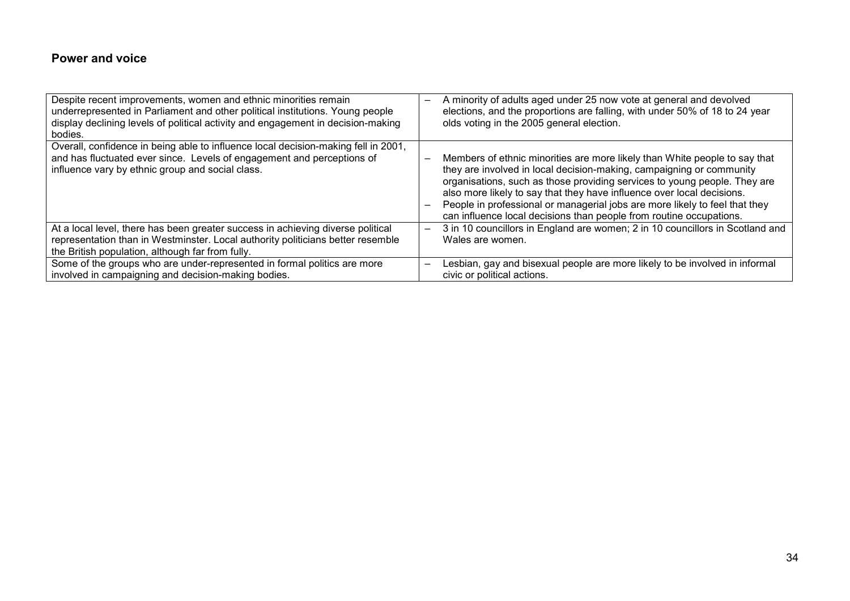### Power and voice

| Despite recent improvements, women and ethnic minorities remain<br>underrepresented in Parliament and other political institutions. Young people<br>display declining levels of political activity and engagement in decision-making<br>bodies. | A minority of adults aged under 25 now vote at general and devolved<br>elections, and the proportions are falling, with under 50% of 18 to 24 year<br>olds voting in the 2005 general election.                                                                                                                                                                                                                                                                 |  |
|-------------------------------------------------------------------------------------------------------------------------------------------------------------------------------------------------------------------------------------------------|-----------------------------------------------------------------------------------------------------------------------------------------------------------------------------------------------------------------------------------------------------------------------------------------------------------------------------------------------------------------------------------------------------------------------------------------------------------------|--|
| Overall, confidence in being able to influence local decision-making fell in 2001,<br>and has fluctuated ever since. Levels of engagement and perceptions of<br>influence vary by ethnic group and social class.                                | Members of ethnic minorities are more likely than White people to say that<br>they are involved in local decision-making, campaigning or community<br>organisations, such as those providing services to young people. They are<br>also more likely to say that they have influence over local decisions.<br>People in professional or managerial jobs are more likely to feel that they<br>can influence local decisions than people from routine occupations. |  |
| At a local level, there has been greater success in achieving diverse political<br>representation than in Westminster. Local authority politicians better resemble<br>the British population, although far from fully.                          | 3 in 10 councillors in England are women; 2 in 10 councillors in Scotland and<br>Wales are women.                                                                                                                                                                                                                                                                                                                                                               |  |
| Some of the groups who are under-represented in formal politics are more<br>involved in campaigning and decision-making bodies.                                                                                                                 | Lesbian, gay and bisexual people are more likely to be involved in informal<br>civic or political actions.                                                                                                                                                                                                                                                                                                                                                      |  |